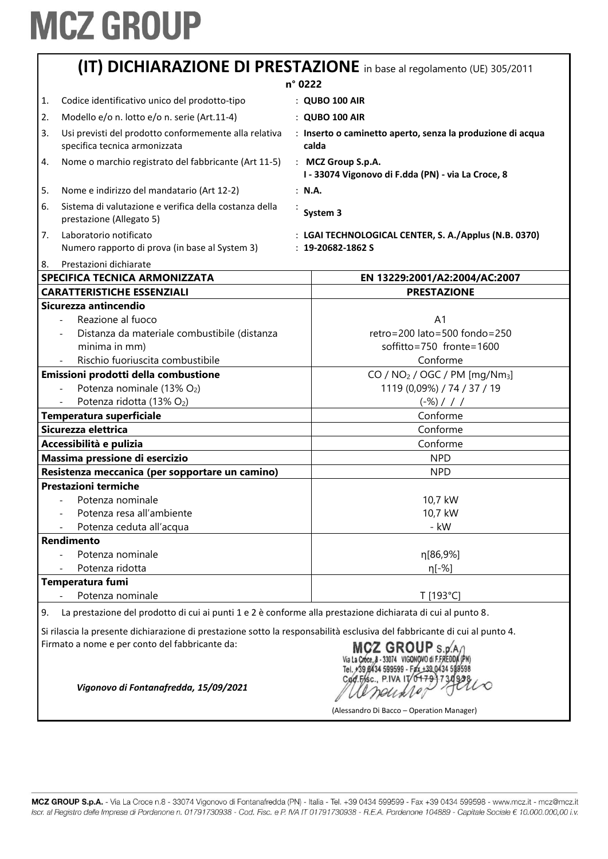|                     | (IT) DICHIARAZIONE DI PRESTAZIONE in base al regolamento (UE) 305/2011                                                                                                                                                                   |  |                                                                                 |
|---------------------|------------------------------------------------------------------------------------------------------------------------------------------------------------------------------------------------------------------------------------------|--|---------------------------------------------------------------------------------|
|                     | n° 0222                                                                                                                                                                                                                                  |  |                                                                                 |
| 1.                  | Codice identificativo unico del prodotto-tipo                                                                                                                                                                                            |  | : QUBO 100 AIR                                                                  |
| 2.                  | Modello e/o n. lotto e/o n. serie (Art.11-4)                                                                                                                                                                                             |  | : QUBO 100 AIR                                                                  |
| 3.                  | Usi previsti del prodotto conformemente alla relativa<br>specifica tecnica armonizzata                                                                                                                                                   |  | : Inserto o caminetto aperto, senza la produzione di acqua<br>calda             |
| 4.                  | Nome o marchio registrato del fabbricante (Art 11-5)                                                                                                                                                                                     |  | : MCZ Group S.p.A.<br>I - 33074 Vigonovo di F.dda (PN) - via La Croce, 8        |
| 5.                  | Nome e indirizzo del mandatario (Art 12-2)                                                                                                                                                                                               |  | : N.A.                                                                          |
| 6.                  | Sistema di valutazione e verifica della costanza della<br>prestazione (Allegato 5)                                                                                                                                                       |  | System 3                                                                        |
| 7.                  | Laboratorio notificato<br>Numero rapporto di prova (in base al System 3)                                                                                                                                                                 |  | : LGAI TECHNOLOGICAL CENTER, S. A./Applus (N.B. 0370)<br>$: 19 - 20682 - 1862S$ |
| 8.                  | Prestazioni dichiarate<br>SPECIFICA TECNICA ARMONIZZATA                                                                                                                                                                                  |  | EN 13229:2001/A2:2004/AC:2007                                                   |
|                     | <b>CARATTERISTICHE ESSENZIALI</b>                                                                                                                                                                                                        |  | <b>PRESTAZIONE</b>                                                              |
|                     | Sicurezza antincendio                                                                                                                                                                                                                    |  |                                                                                 |
|                     | Reazione al fuoco                                                                                                                                                                                                                        |  | A <sub>1</sub>                                                                  |
|                     | Distanza da materiale combustibile (distanza                                                                                                                                                                                             |  | retro=200 lato=500 fondo=250                                                    |
|                     | minima in mm)                                                                                                                                                                                                                            |  | soffitto=750 fronte=1600                                                        |
|                     | Rischio fuoriuscita combustibile                                                                                                                                                                                                         |  | Conforme                                                                        |
|                     | Emissioni prodotti della combustione                                                                                                                                                                                                     |  | $CO / NO2 / OGC / PM [mg/Nm3]$                                                  |
|                     | Potenza nominale (13% O2)                                                                                                                                                                                                                |  | 1119 (0,09%) / 74 / 37 / 19                                                     |
|                     | Potenza ridotta (13% O2)                                                                                                                                                                                                                 |  | $(-\%)$ / / /                                                                   |
|                     | Temperatura superficiale                                                                                                                                                                                                                 |  | Conforme                                                                        |
| Sicurezza elettrica |                                                                                                                                                                                                                                          |  | Conforme                                                                        |
|                     | Accessibilità e pulizia                                                                                                                                                                                                                  |  | Conforme                                                                        |
|                     | Massima pressione di esercizio                                                                                                                                                                                                           |  | <b>NPD</b>                                                                      |
|                     | Resistenza meccanica (per sopportare un camino)                                                                                                                                                                                          |  | <b>NPD</b>                                                                      |
|                     | <b>Prestazioni termiche</b>                                                                                                                                                                                                              |  |                                                                                 |
|                     | Potenza nominale                                                                                                                                                                                                                         |  | 10,7 kW                                                                         |
|                     | Potenza resa all'ambiente                                                                                                                                                                                                                |  | 10,7 kW                                                                         |
|                     | Potenza ceduta all'acqua                                                                                                                                                                                                                 |  | - kW                                                                            |
|                     | Rendimento                                                                                                                                                                                                                               |  |                                                                                 |
|                     | Potenza nominale                                                                                                                                                                                                                         |  | η[86,9%]                                                                        |
|                     | Potenza ridotta                                                                                                                                                                                                                          |  | η[-%]                                                                           |
|                     | Temperatura fumi                                                                                                                                                                                                                         |  |                                                                                 |
|                     | Potenza nominale                                                                                                                                                                                                                         |  | T [193°C]                                                                       |
|                     |                                                                                                                                                                                                                                          |  |                                                                                 |
| 9.                  | La prestazione del prodotto di cui ai punti 1 e 2 è conforme alla prestazione dichiarata di cui al punto 8.<br>Si rilascia la presente dichiarazione di prestazione sotto la responsabilità esclusiva del fabbricante di cui al punto 4. |  |                                                                                 |

Firmato a nome e per conto del fabbricante da:

LO neuxio

(Alessandro Di Bacco – Operation Manager)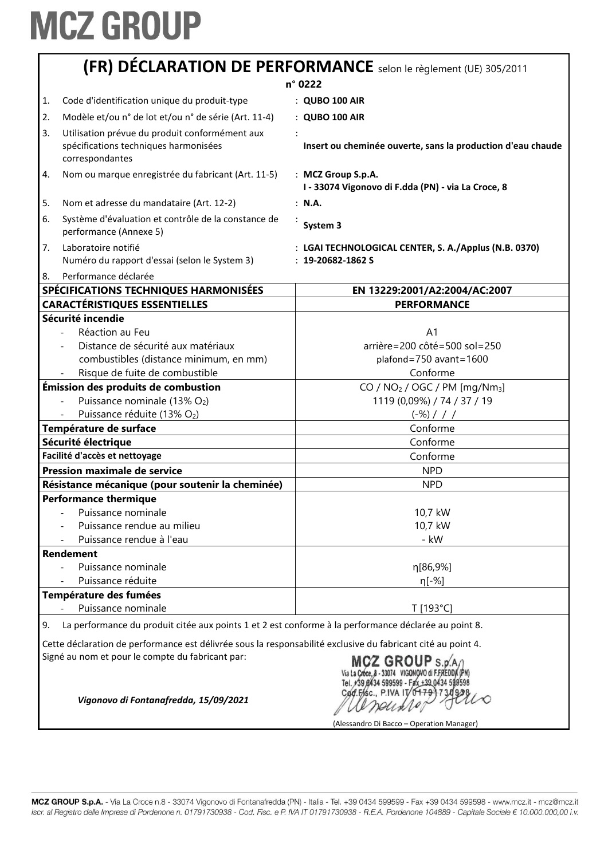|    | (FR) DÉCLARATION DE PERFORMANCE selon le règlement (UE) 305/2011                                                                                                 |                                                                             |  |
|----|------------------------------------------------------------------------------------------------------------------------------------------------------------------|-----------------------------------------------------------------------------|--|
|    |                                                                                                                                                                  | n° 0222                                                                     |  |
| 1. | Code d'identification unique du produit-type                                                                                                                     | : QUBO 100 AIR                                                              |  |
| 2. | Modèle et/ou n° de lot et/ou n° de série (Art. 11-4)                                                                                                             | : QUBO 100 AIR                                                              |  |
| 3. | Utilisation prévue du produit conformément aux<br>spécifications techniques harmonisées<br>correspondantes                                                       | Insert ou cheminée ouverte, sans la production d'eau chaude                 |  |
| 4. | Nom ou marque enregistrée du fabricant (Art. 11-5)                                                                                                               | : MCZ Group S.p.A.<br>I - 33074 Vigonovo di F.dda (PN) - via La Croce, 8    |  |
| 5. | Nom et adresse du mandataire (Art. 12-2)                                                                                                                         | : N.A.                                                                      |  |
| 6. | Système d'évaluation et contrôle de la constance de<br>performance (Annexe 5)                                                                                    | System 3                                                                    |  |
| 7. | Laboratoire notifié<br>Numéro du rapport d'essai (selon le System 3)                                                                                             | : LGAI TECHNOLOGICAL CENTER, S. A./Applus (N.B. 0370)<br>$: 19-20682-1862S$ |  |
| 8. | Performance déclarée                                                                                                                                             |                                                                             |  |
|    | SPÉCIFICATIONS TECHNIQUES HARMONISÉES                                                                                                                            | EN 13229:2001/A2:2004/AC:2007                                               |  |
|    | <b>CARACTÉRISTIQUES ESSENTIELLES</b>                                                                                                                             | <b>PERFORMANCE</b>                                                          |  |
|    | Sécurité incendie                                                                                                                                                |                                                                             |  |
|    | Réaction au Feu                                                                                                                                                  | A <sub>1</sub>                                                              |  |
|    | Distance de sécurité aux matériaux                                                                                                                               | arrière=200 côté=500 sol=250                                                |  |
|    | combustibles (distance minimum, en mm)                                                                                                                           | plafond=750 avant=1600                                                      |  |
|    | Risque de fuite de combustible                                                                                                                                   | Conforme                                                                    |  |
|    | Émission des produits de combustion                                                                                                                              | CO / $NO2$ / OGC / PM [mg/Nm <sub>3</sub> ]                                 |  |
|    | Puissance nominale (13% O2)                                                                                                                                      | 1119 (0,09%) / 74 / 37 / 19                                                 |  |
|    | Puissance réduite (13% O2)                                                                                                                                       | $(-\%)$ / / /                                                               |  |
|    | Température de surface                                                                                                                                           | Conforme                                                                    |  |
|    | Sécurité électrique                                                                                                                                              | Conforme                                                                    |  |
|    | Facilité d'accès et nettoyage                                                                                                                                    | Conforme                                                                    |  |
|    | <b>Pression maximale de service</b>                                                                                                                              | <b>NPD</b>                                                                  |  |
|    | Résistance mécanique (pour soutenir la cheminée)                                                                                                                 | <b>NPD</b>                                                                  |  |
|    | <b>Performance thermique</b>                                                                                                                                     |                                                                             |  |
|    | Puissance nominale                                                                                                                                               | 10,7 kW                                                                     |  |
|    | Puissance rendue au milieu                                                                                                                                       | 10,7 kW                                                                     |  |
|    | Puissance rendue à l'eau                                                                                                                                         | - kW                                                                        |  |
|    | <b>Rendement</b>                                                                                                                                                 |                                                                             |  |
|    | Puissance nominale                                                                                                                                               | η[86,9%]                                                                    |  |
|    | Puissance réduite                                                                                                                                                | η[-%]                                                                       |  |
|    | Température des fumées                                                                                                                                           |                                                                             |  |
|    | Puissance nominale                                                                                                                                               | T [193°C]                                                                   |  |
| 9. | La performance du produit citée aux points 1 et 2 est conforme à la performance déclarée au point 8.                                                             |                                                                             |  |
|    | Cette déclaration de performance est délivrée sous la responsabilité exclusive du fabricant cité au point 4.<br>Signé au nom et pour le compte du fabricant par: | $MCY$ GROUP $\frac{1}{2}$                                                   |  |

MCZ GROUP S.p.A<br>Via La Croce, 8 - 33074 VIGONOVO di F.FREDDA (PN)<br>Tel. +39 8434 599599 - Fax +39 0434 599598<br>Cod. Fasc., P.IVA IT 0479 730998 Ull neuxles

(Alessandro Di Bacco – Operation Manager)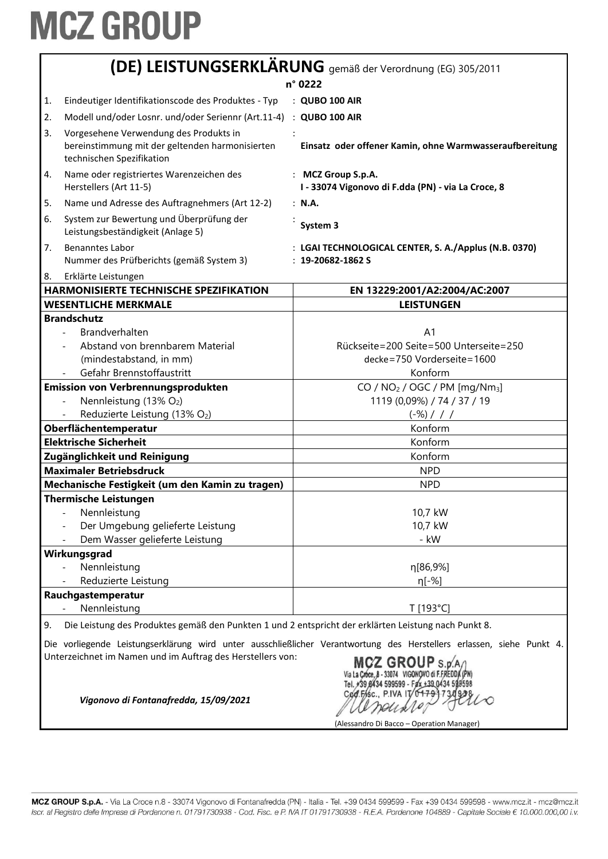|    | (DE) LEISTUNGSERKLÄRUNG gemäß der Verordnung (EG) 305/2011                                                             |                                                                                                                                                                                                         |  |
|----|------------------------------------------------------------------------------------------------------------------------|---------------------------------------------------------------------------------------------------------------------------------------------------------------------------------------------------------|--|
|    | n° 0222                                                                                                                |                                                                                                                                                                                                         |  |
| 1. | Eindeutiger Identifikationscode des Produktes - Typ                                                                    | : QUBO 100 AIR                                                                                                                                                                                          |  |
| 2. | Modell und/oder Losnr. und/oder Seriennr (Art.11-4)                                                                    | : QUBO 100 AIR                                                                                                                                                                                          |  |
| 3. | Vorgesehene Verwendung des Produkts in<br>bereinstimmung mit der geltenden harmonisierten<br>technischen Spezifikation | Einsatz oder offener Kamin, ohne Warmwasseraufbereitung                                                                                                                                                 |  |
| 4. | Name oder registriertes Warenzeichen des<br>Herstellers (Art 11-5)                                                     | : MCZ Group S.p.A.<br>I - 33074 Vigonovo di F.dda (PN) - via La Croce, 8                                                                                                                                |  |
| 5. | Name und Adresse des Auftragnehmers (Art 12-2)                                                                         | : N.A.                                                                                                                                                                                                  |  |
| 6. | System zur Bewertung und Überprüfung der<br>Leistungsbeständigkeit (Anlage 5)                                          | System 3                                                                                                                                                                                                |  |
| 7. | <b>Benanntes Labor</b><br>Nummer des Prüfberichts (gemäß System 3)                                                     | : LGAI TECHNOLOGICAL CENTER, S. A./Applus (N.B. 0370)<br>$: 19 - 20682 - 1862S$                                                                                                                         |  |
| 8. | Erklärte Leistungen                                                                                                    |                                                                                                                                                                                                         |  |
|    | HARMONISIERTE TECHNISCHE SPEZIFIKATION                                                                                 | EN 13229:2001/A2:2004/AC:2007                                                                                                                                                                           |  |
|    | <b>WESENTLICHE MERKMALE</b>                                                                                            | <b>LEISTUNGEN</b>                                                                                                                                                                                       |  |
|    | <b>Brandschutz</b><br>Brandverhalten<br>Abstand von brennbarem Material<br>(mindestabstand, in mm)                     | A <sub>1</sub><br>Rückseite=200 Seite=500 Unterseite=250<br>decke=750 Vorderseite=1600                                                                                                                  |  |
|    | Gefahr Brennstoffaustritt                                                                                              | Konform                                                                                                                                                                                                 |  |
|    | <b>Emission von Verbrennungsprodukten</b>                                                                              | CO / NO <sub>2</sub> / OGC / PM [mg/Nm <sub>3</sub> ]                                                                                                                                                   |  |
|    | Nennleistung (13% O2)                                                                                                  | 1119 (0,09%) / 74 / 37 / 19                                                                                                                                                                             |  |
|    | Reduzierte Leistung (13% O2)<br>Oberflächentemperatur                                                                  | $(-\%)$ / / /<br>Konform                                                                                                                                                                                |  |
|    | <b>Elektrische Sicherheit</b>                                                                                          | Konform                                                                                                                                                                                                 |  |
|    | Zugänglichkeit und Reinigung                                                                                           | Konform                                                                                                                                                                                                 |  |
|    | <b>Maximaler Betriebsdruck</b>                                                                                         | <b>NPD</b>                                                                                                                                                                                              |  |
|    | Mechanische Festigkeit (um den Kamin zu tragen)                                                                        | <b>NPD</b>                                                                                                                                                                                              |  |
|    | <b>Thermische Leistungen</b>                                                                                           |                                                                                                                                                                                                         |  |
|    | Nennleistung<br>Der Umgebung gelieferte Leistung<br>Dem Wasser gelieferte Leistung                                     | 10,7 kW<br>10,7 kW<br>- kW                                                                                                                                                                              |  |
|    | Wirkungsgrad                                                                                                           |                                                                                                                                                                                                         |  |
|    | Nennleistung<br>Reduzierte Leistung                                                                                    | η[86,9%]<br>$\eta$ [-%]                                                                                                                                                                                 |  |
|    | Rauchgastemperatur                                                                                                     |                                                                                                                                                                                                         |  |
|    | Nennleistung                                                                                                           | T [193°C]                                                                                                                                                                                               |  |
| 9. | Die Leistung des Produktes gemäß den Punkten 1 und 2 entspricht der erklärten Leistung nach Punkt 8.                   |                                                                                                                                                                                                         |  |
|    | Unterzeichnet im Namen und im Auftrag des Herstellers von:<br>Vigonovo di Fontanafredda, 15/09/2021                    | Die vorliegende Leistungserklärung wird unter ausschließlicher Verantwortung des Herstellers erlassen, siehe Punkt 4.<br>MCZ GROUP S.D.<br>39 8434 599599 - Fax +39 0434 5<br>Cod.Fisc., P.IVA IT/04791 |  |

(Alessandro Di Bacco – Operation Manager)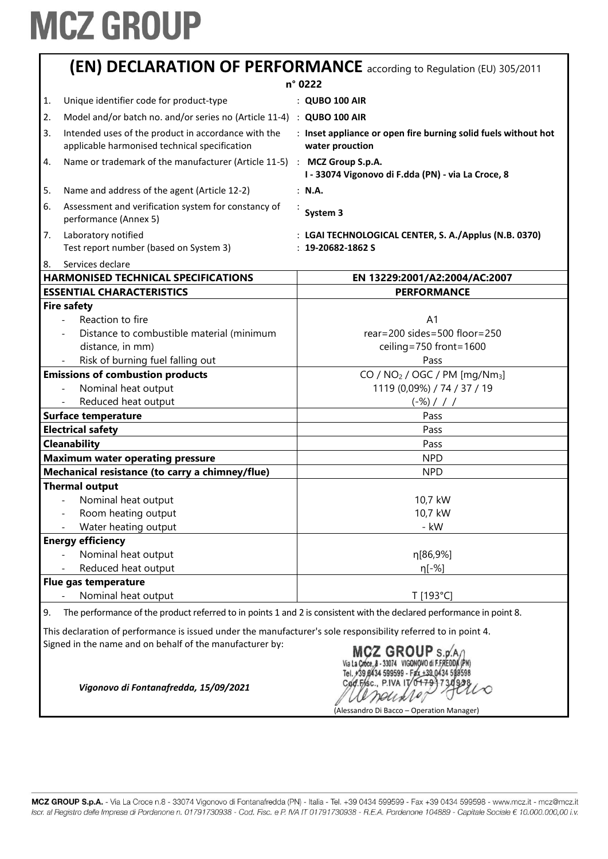|    | <b>(EN) DECLARATION OF PERFORMANCE</b> according to Regulation (EU) 305/2011                                         |  |                                                                                   |
|----|----------------------------------------------------------------------------------------------------------------------|--|-----------------------------------------------------------------------------------|
|    |                                                                                                                      |  | n° 0222                                                                           |
| 1. | Unique identifier code for product-type                                                                              |  | : QUBO 100 AIR                                                                    |
| 2. | Model and/or batch no. and/or series no (Article 11-4) : QUBO 100 AIR                                                |  |                                                                                   |
| 3. | Intended uses of the product in accordance with the<br>applicable harmonised technical specification                 |  | : Inset appliance or open fire burning solid fuels without hot<br>water prouction |
| 4. | Name or trademark of the manufacturer (Article 11-5) : MCZ Group S.p.A.                                              |  | I - 33074 Vigonovo di F.dda (PN) - via La Croce, 8                                |
| 5. | Name and address of the agent (Article 12-2)                                                                         |  | : N.A.                                                                            |
| 6. | Assessment and verification system for constancy of<br>performance (Annex 5)                                         |  | System 3                                                                          |
| 7. | Laboratory notified<br>Test report number (based on System 3)                                                        |  | : LGAI TECHNOLOGICAL CENTER, S. A./Applus (N.B. 0370)<br>$: 19 - 20682 - 1862S$   |
| 8. | Services declare                                                                                                     |  |                                                                                   |
|    | <b>HARMONISED TECHNICAL SPECIFICATIONS</b>                                                                           |  | EN 13229:2001/A2:2004/AC:2007                                                     |
|    | <b>ESSENTIAL CHARACTERISTICS</b>                                                                                     |  | <b>PERFORMANCE</b>                                                                |
|    | <b>Fire safety</b>                                                                                                   |  |                                                                                   |
|    | Reaction to fire                                                                                                     |  | A <sub>1</sub>                                                                    |
|    | Distance to combustible material (minimum                                                                            |  | $rear = 200 sides = 500 floor = 250$                                              |
|    | distance, in mm)                                                                                                     |  | ceiling=750 front=1600                                                            |
|    | Risk of burning fuel falling out                                                                                     |  | Pass                                                                              |
|    | <b>Emissions of combustion products</b>                                                                              |  | CO / NO <sub>2</sub> / OGC / PM [mg/Nm <sub>3</sub> ]                             |
|    | Nominal heat output                                                                                                  |  | 1119 (0,09%) / 74 / 37 / 19                                                       |
|    | Reduced heat output                                                                                                  |  | $(-\%)$ / / /                                                                     |
|    | <b>Surface temperature</b>                                                                                           |  | Pass                                                                              |
|    | <b>Electrical safety</b>                                                                                             |  | Pass                                                                              |
|    | <b>Cleanability</b>                                                                                                  |  | Pass                                                                              |
|    | <b>Maximum water operating pressure</b>                                                                              |  | <b>NPD</b>                                                                        |
|    | Mechanical resistance (to carry a chimney/flue)                                                                      |  | <b>NPD</b>                                                                        |
|    | <b>Thermal output</b>                                                                                                |  |                                                                                   |
|    | Nominal heat output                                                                                                  |  | 10,7 kW                                                                           |
|    | Room heating output                                                                                                  |  | 10,7 kW                                                                           |
|    | Water heating output                                                                                                 |  | - kW                                                                              |
|    | <b>Energy efficiency</b>                                                                                             |  |                                                                                   |
|    | Nominal heat output                                                                                                  |  | η[86,9%]                                                                          |
|    | Reduced heat output                                                                                                  |  | $n[-%]$                                                                           |
|    | Flue gas temperature                                                                                                 |  |                                                                                   |
|    | Nominal heat output                                                                                                  |  | T [193°C]                                                                         |
| 9. | The performance of the product referred to in points 1 and 2 is consistent with the declared performance in point 8. |  |                                                                                   |

This declaration of performance is issued under the manufacturer's sole responsibility referred to in point 4. Signed in the name and on behalf of the manufacturer by:

*Vigonovo di Fontanafredda, 15/09/2021*

MCZ GROUP S.p. A /<br>Via La Croce, 8 - 33074 VIGONOVO di F.FREDDA (PN)<br>Tel. +39.0434 599599 - Fax +39.0434 599598 Cod.Fisc., P.IVA IT/04791730928 K anguare, (Alessandro Di Bacco – Operation Manager)

MCZ GROUP S.p.A. - Via La Croce n.8 - 33074 Vigonovo di Fontanafredda (PN) - Italia - Tel. +39 0434 599599 - Fax +39 0434 599598 - www.mcz.it - mcz@mcz.it Iscr. al Registro delle Imprese di Pordenone n. 01791730938 - Cod. Fisc. e P. IVA IT 01791730938 - R.E.A. Pordenone 104889 - Capitale Sociale € 10.000.000,00 i.v.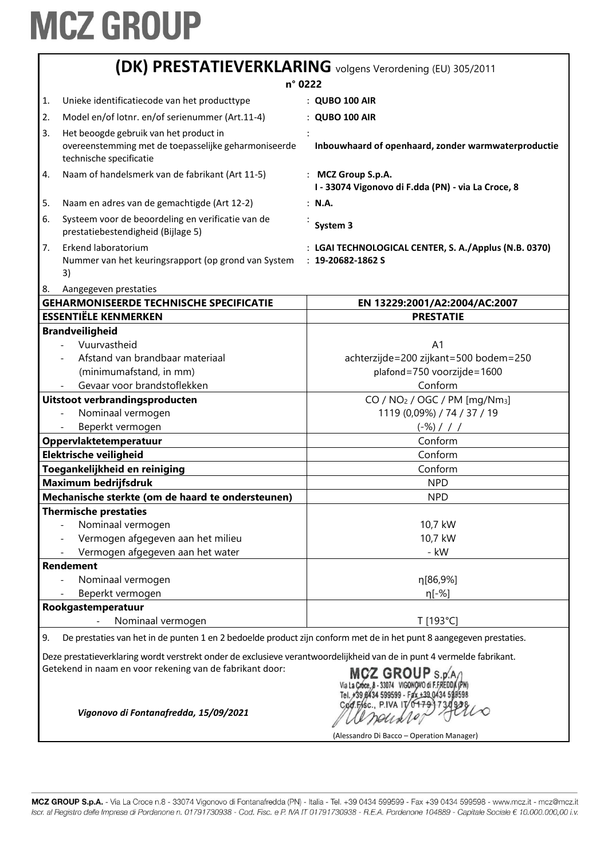|    | <b>(DK) PRESTATIEVERKLARING</b> volgens Verordening (EU) 305/2011                                                                                                                  |                                                                                 |  |  |
|----|------------------------------------------------------------------------------------------------------------------------------------------------------------------------------------|---------------------------------------------------------------------------------|--|--|
|    | n° 0222                                                                                                                                                                            |                                                                                 |  |  |
| 1. | Unieke identificatiecode van het producttype                                                                                                                                       | : QUBO 100 AIR                                                                  |  |  |
| 2. | Model en/of lotnr. en/of serienummer (Art.11-4)                                                                                                                                    | : QUBO 100 AIR                                                                  |  |  |
| 3. | Het beoogde gebruik van het product in                                                                                                                                             |                                                                                 |  |  |
|    | overeenstemming met de toepasselijke geharmoniseerde<br>technische specificatie                                                                                                    | Inbouwhaard of openhaard, zonder warmwaterproductie                             |  |  |
| 4. | Naam of handelsmerk van de fabrikant (Art 11-5)                                                                                                                                    | : MCZ Group S.p.A.<br>I - 33074 Vigonovo di F.dda (PN) - via La Croce, 8        |  |  |
| 5. | Naam en adres van de gemachtigde (Art 12-2)                                                                                                                                        | : N.A.                                                                          |  |  |
| 6. | Systeem voor de beoordeling en verificatie van de<br>prestatiebestendigheid (Bijlage 5)                                                                                            | System 3                                                                        |  |  |
| 7. | Erkend laboratorium<br>Nummer van het keuringsrapport (op grond van System<br>3)                                                                                                   | : LGAI TECHNOLOGICAL CENTER, S. A./Applus (N.B. 0370)<br>$: 19 - 20682 - 1862S$ |  |  |
| 8. | Aangegeven prestaties<br><b>GEHARMONISEERDE TECHNISCHE SPECIFICATIE</b>                                                                                                            | EN 13229:2001/A2:2004/AC:2007                                                   |  |  |
|    | <b>ESSENTIËLE KENMERKEN</b>                                                                                                                                                        | <b>PRESTATIE</b>                                                                |  |  |
|    | <b>Brandveiligheid</b>                                                                                                                                                             |                                                                                 |  |  |
|    | Vuurvastheid                                                                                                                                                                       | A <sub>1</sub>                                                                  |  |  |
|    | Afstand van brandbaar materiaal                                                                                                                                                    | achterzijde=200 zijkant=500 bodem=250                                           |  |  |
|    | (minimumafstand, in mm)                                                                                                                                                            | plafond=750 voorzijde=1600                                                      |  |  |
|    | Gevaar voor brandstoflekken                                                                                                                                                        | Conform                                                                         |  |  |
|    | Uitstoot verbrandingsproducten                                                                                                                                                     | CO / NO <sub>2</sub> / OGC / PM [mg/Nm <sub>3</sub> ]                           |  |  |
|    | Nominaal vermogen                                                                                                                                                                  | 1119 (0,09%) / 74 / 37 / 19                                                     |  |  |
|    | Beperkt vermogen                                                                                                                                                                   | $(-\%)$ / / /                                                                   |  |  |
|    | Oppervlaktetemperatuur                                                                                                                                                             | Conform                                                                         |  |  |
|    | Elektrische veiligheid                                                                                                                                                             | Conform                                                                         |  |  |
|    | Toegankelijkheid en reiniging                                                                                                                                                      | Conform                                                                         |  |  |
|    | <b>Maximum bedrijfsdruk</b>                                                                                                                                                        | <b>NPD</b>                                                                      |  |  |
|    | Mechanische sterkte (om de haard te ondersteunen)                                                                                                                                  | <b>NPD</b>                                                                      |  |  |
|    | <b>Thermische prestaties</b>                                                                                                                                                       |                                                                                 |  |  |
|    | Nominaal vermogen                                                                                                                                                                  | 10,7 kW                                                                         |  |  |
|    | Vermogen afgegeven aan het milieu                                                                                                                                                  | 10,7 kW                                                                         |  |  |
|    | Vermogen afgegeven aan het water                                                                                                                                                   | - kW                                                                            |  |  |
|    | <b>Rendement</b>                                                                                                                                                                   |                                                                                 |  |  |
|    | Nominaal vermogen                                                                                                                                                                  | η[86,9%]                                                                        |  |  |
|    | Beperkt vermogen                                                                                                                                                                   | η[-%]                                                                           |  |  |
|    | Rookgastemperatuur                                                                                                                                                                 |                                                                                 |  |  |
|    | Nominaal vermogen<br>$\overline{a}$                                                                                                                                                | T [193°C]                                                                       |  |  |
| 9. | De prestaties van het in de punten 1 en 2 bedoelde product zijn conform met de in het punt 8 aangegeven prestaties.                                                                |                                                                                 |  |  |
|    | Deze prestatieverklaring wordt verstrekt onder de exclusieve verantwoordelijkheid van de in punt 4 vermelde fabrikant.<br>Getekend in naam en voor rekening van de fabrikant door: | MCZ GROUP S n'                                                                  |  |  |
|    | 599599 - Fax +39 0434 598598<br>Cod.Fisc., P.IVA IT/0479173<br>Vigonovo di Fontanafredda, 15/09/2021<br>(Alessandro Di Bacco – Operation Manager)                                  |                                                                                 |  |  |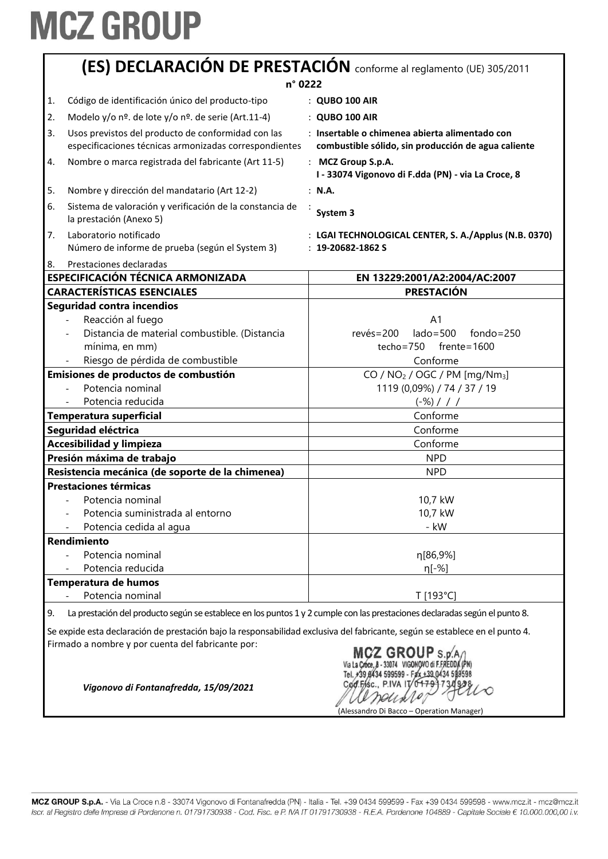|    | (ES) DECLARACIÓN DE PRESTACIÓN conforme al reglamento (UE) 305/2011<br>n° 0222                               |                                                                                                       |  |
|----|--------------------------------------------------------------------------------------------------------------|-------------------------------------------------------------------------------------------------------|--|
| 1. | Código de identificación único del producto-tipo                                                             | : QUBO 100 AIR                                                                                        |  |
| 2. | Modelo y/o nº. de lote y/o nº. de serie (Art.11-4)                                                           | : QUBO 100 AIR                                                                                        |  |
| 3. | Usos previstos del producto de conformidad con las<br>especificaciones técnicas armonizadas correspondientes | : Insertable o chimenea abierta alimentado con<br>combustible sólido, sin producción de agua caliente |  |
| 4. | Nombre o marca registrada del fabricante (Art 11-5)                                                          | : MCZ Group S.p.A.<br>I - 33074 Vigonovo di F.dda (PN) - via La Croce, 8                              |  |
| 5. | Nombre y dirección del mandatario (Art 12-2)                                                                 | : N.A.                                                                                                |  |
| 6. | Sistema de valoración y verificación de la constancia de<br>la prestación (Anexo 5)                          | System 3                                                                                              |  |
| 7. | Laboratorio notificado<br>Número de informe de prueba (según el System 3)                                    | : LGAI TECHNOLOGICAL CENTER, S. A./Applus (N.B. 0370)<br>$: 19 - 20682 - 1862S$                       |  |
| 8. | Prestaciones declaradas<br>ESPECIFICACIÓN TÉCNICA ARMONIZADA                                                 | EN 13229:2001/A2:2004/AC:2007                                                                         |  |
|    | <b>CARACTERÍSTICAS ESENCIALES</b>                                                                            | <b>PRESTACIÓN</b>                                                                                     |  |
|    | Seguridad contra incendios                                                                                   |                                                                                                       |  |
|    | Reacción al fuego                                                                                            | A <sub>1</sub>                                                                                        |  |
|    | Distancia de material combustible. (Distancia                                                                | $lado = 500$<br>$fondo = 250$<br>$rev\acute{e}s = 200$                                                |  |
|    | mínima, en mm)                                                                                               | $f$ rente=1600<br>$techo = 750$                                                                       |  |
|    | Riesgo de pérdida de combustible                                                                             | Conforme                                                                                              |  |
|    | Emisiones de productos de combustión                                                                         | CO / $NO2$ / OGC / PM [mg/Nm <sub>3</sub> ]                                                           |  |
|    | Potencia nominal                                                                                             | 1119 (0,09%) / 74 / 37 / 19                                                                           |  |
|    | Potencia reducida                                                                                            | $(-\%)$ / / /                                                                                         |  |
|    | Temperatura superficial                                                                                      | Conforme                                                                                              |  |
|    | Seguridad eléctrica                                                                                          | Conforme                                                                                              |  |
|    | Accesibilidad y limpieza                                                                                     | Conforme                                                                                              |  |
|    | Presión máxima de trabajo                                                                                    | <b>NPD</b>                                                                                            |  |
|    | Resistencia mecánica (de soporte de la chimenea)                                                             | <b>NPD</b>                                                                                            |  |
|    | <b>Prestaciones térmicas</b>                                                                                 |                                                                                                       |  |
|    | Potencia nominal                                                                                             | 10,7 kW                                                                                               |  |
|    | Potencia suministrada al entorno                                                                             | 10,7 kW                                                                                               |  |
|    | Potencia cedida al aqua                                                                                      | - kW                                                                                                  |  |
|    | <b>Rendimiento</b>                                                                                           |                                                                                                       |  |
|    | Potencia nominal                                                                                             | η[86,9%]                                                                                              |  |
|    | Potencia reducida                                                                                            | η[-%]                                                                                                 |  |
|    | Temperatura de humos                                                                                         |                                                                                                       |  |
|    |                                                                                                              |                                                                                                       |  |

Firmado a nombre y por cuenta del fabricante por:

MCZ GROUP S.p.A. Tel. +39 8434 599599 - Fax +39 0434 599598 Cod.Fisc., P.IVA IT andis 10 (Alessandro Di Bacco – Operation Manager)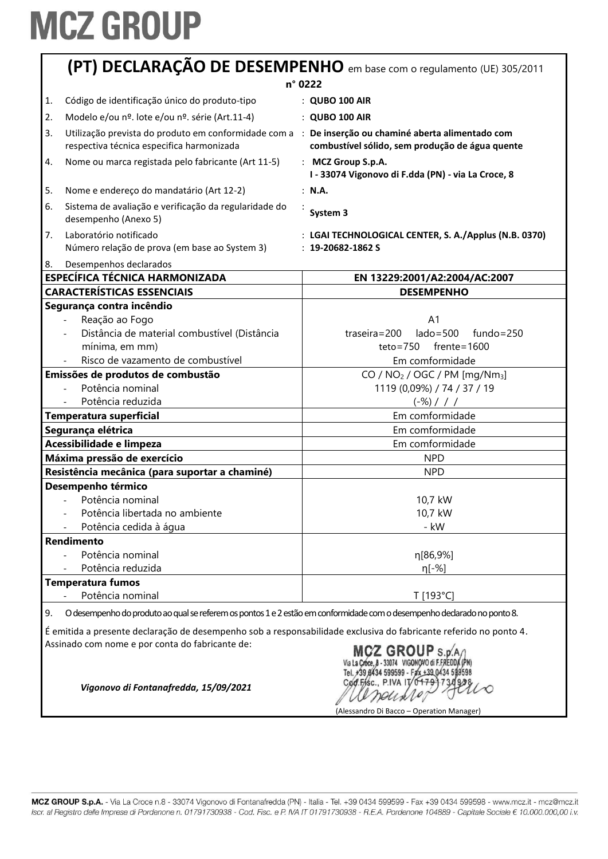|                         | (PT) DECLARAÇÃO DE DESEMPENHO em base com o regulamento (UE) 305/2011                                                                            |                                                                                 |  |
|-------------------------|--------------------------------------------------------------------------------------------------------------------------------------------------|---------------------------------------------------------------------------------|--|
|                         | n° 0222                                                                                                                                          |                                                                                 |  |
| 1.                      | Código de identificação único do produto-tipo                                                                                                    | : QUBO 100 AIR                                                                  |  |
| 2.                      | Modelo e/ou nº. lote e/ou nº. série (Art.11-4)                                                                                                   | : QUBO 100 AIR                                                                  |  |
| 3.                      | Utilização prevista do produto em conformidade com a : De inserção ou chaminé aberta alimentado com<br>respectiva técnica especifica harmonizada | combustível sólido, sem produção de água quente                                 |  |
| 4.                      | Nome ou marca registada pelo fabricante (Art 11-5)                                                                                               | : MCZ Group S.p.A.<br>I - 33074 Vigonovo di F.dda (PN) - via La Croce, 8        |  |
| 5.                      | Nome e endereço do mandatário (Art 12-2)                                                                                                         | : N.A.                                                                          |  |
| 6.                      | Sistema de avaliação e verificação da regularidade do<br>desempenho (Anexo 5)                                                                    | System 3                                                                        |  |
| 7.                      | Laboratório notificado<br>Número relação de prova (em base ao System 3)                                                                          | : LGAI TECHNOLOGICAL CENTER, S. A./Applus (N.B. 0370)<br>$: 19 - 20682 - 1862S$ |  |
| 8.                      | Desempenhos declarados                                                                                                                           |                                                                                 |  |
|                         | <b>ESPECÍFICA TÉCNICA HARMONIZADA</b>                                                                                                            | EN 13229:2001/A2:2004/AC:2007                                                   |  |
|                         | <b>CARACTERÍSTICAS ESSENCIAIS</b>                                                                                                                | <b>DESEMPENHO</b>                                                               |  |
|                         | Segurança contra incêndio                                                                                                                        |                                                                                 |  |
|                         | Reação ao Fogo<br>Distância de material combustível (Distância                                                                                   | A <sub>1</sub><br>$lado = 500$<br>$fundo = 250$                                 |  |
|                         | mínima, em mm)                                                                                                                                   | $traseira = 200$<br>$teto = 750$<br>$f$ rente=1600                              |  |
|                         | Risco de vazamento de combustível                                                                                                                | Em comformidade                                                                 |  |
|                         |                                                                                                                                                  |                                                                                 |  |
|                         | Emissões de produtos de combustão<br>Potência nominal                                                                                            | CO / $NO2$ / OGC / PM [mg/Nm <sub>3</sub> ]                                     |  |
|                         | Potência reduzida                                                                                                                                | 1119 (0,09%) / 74 / 37 / 19                                                     |  |
|                         |                                                                                                                                                  | $(-\%)$ / / /                                                                   |  |
| Temperatura superficial |                                                                                                                                                  | Em comformidade                                                                 |  |
| Segurança elétrica      |                                                                                                                                                  | Em comformidade                                                                 |  |
|                         | Acessibilidade e limpeza                                                                                                                         | Em comformidade                                                                 |  |
|                         | Máxima pressão de exercício                                                                                                                      | <b>NPD</b>                                                                      |  |
|                         | Resistência mecânica (para suportar a chaminé)                                                                                                   | <b>NPD</b>                                                                      |  |
|                         | Desempenho térmico                                                                                                                               |                                                                                 |  |
|                         | Potência nominal                                                                                                                                 | 10,7 kW                                                                         |  |
|                         | Potência libertada no ambiente                                                                                                                   | 10,7 kW                                                                         |  |
|                         | Potência cedida à água                                                                                                                           | - kW                                                                            |  |
|                         | <b>Rendimento</b>                                                                                                                                |                                                                                 |  |
|                         | Potência nominal                                                                                                                                 | η[86,9%]                                                                        |  |
|                         | Potência reduzida                                                                                                                                | η[-%]                                                                           |  |
|                         | <b>Temperatura fumos</b>                                                                                                                         |                                                                                 |  |
|                         | Potência nominal                                                                                                                                 | T [193°C]                                                                       |  |
| 9.                      | O desempenho do produto ao qual se referem os pontos 1 e 2 estão em conformidade com o desempenho declarado no ponto 8.                          |                                                                                 |  |
|                         | É emitida a presente declaração de desempenho sob a responsabilidade exclusiva do fabricante referido no ponto 4.                                |                                                                                 |  |
|                         | Assinado com nome e por conta do fabricante de:<br>MCZ GROUP $s.p.A/$<br>Via La Croce, 8 - 33074 VIGONOVO di F.FREDDA (PN)                       |                                                                                 |  |

Tel. +39 8434 599599 - Fax +39 0434 598598<br>Cod: Fisc., P.IVA IT 0 + 79 1 7 3 0 9 3 8  $\infty$ arounder

(Alessandro Di Bacco – Operation Manager)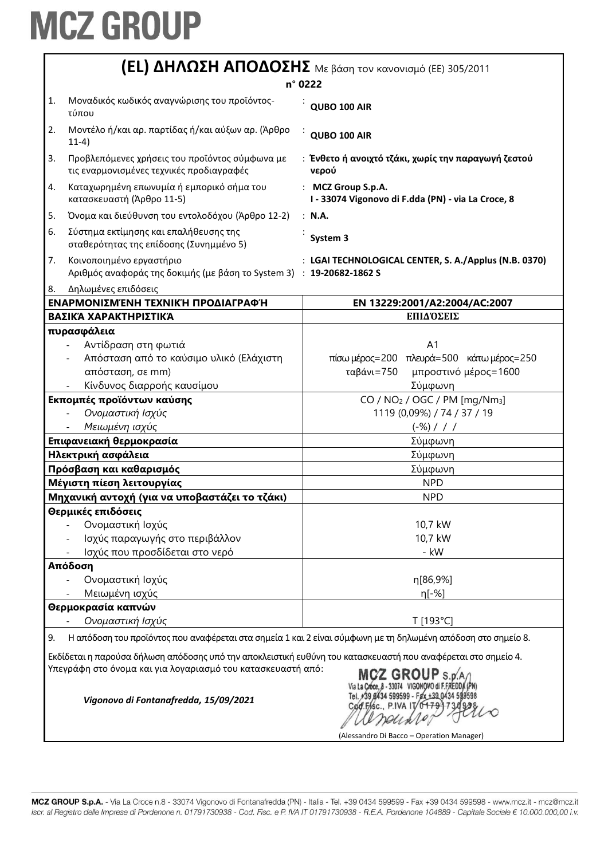| <b>(EL) ΔΗΛΩΣΗ ΑΠΟΔΟΣΗΣ</b> Με βάση τον κανονισμό (ΕΕ) 305/2011                                                                                                                                                   |                                                                                                              |  |  |
|-------------------------------------------------------------------------------------------------------------------------------------------------------------------------------------------------------------------|--------------------------------------------------------------------------------------------------------------|--|--|
| n° 0222                                                                                                                                                                                                           |                                                                                                              |  |  |
| Μοναδικός κωδικός αναγνώρισης του προϊόντος-<br>1.<br>τύπου                                                                                                                                                       | QUBO 100 AIR                                                                                                 |  |  |
| Μοντέλο ή/και αρ. παρτίδας ή/και αύξων αρ. (Άρθρο<br>2.<br>$11-4)$                                                                                                                                                | QUBO 100 AIR                                                                                                 |  |  |
| 3.<br>Προβλεπόμενες χρήσεις του προϊόντος σύμφωνα με<br>τις εναρμονισμένες τεχνικές προδιαγραφές                                                                                                                  | : Ένθετο ή ανοιχτό τζάκι, χωρίς την παραγωγή ζεστού<br>νερού                                                 |  |  |
| Καταχωρημένη επωνυμία ή εμπορικό σήμα του<br>4.<br>κατασκευαστή (Άρθρο 11-5)                                                                                                                                      | : MCZ Group S.p.A.<br>I - 33074 Vigonovo di F.dda (PN) - via La Croce, 8                                     |  |  |
| 5.<br>Όνομα και διεύθυνση του εντολοδόχου (Άρθρο 12-2)                                                                                                                                                            | : N.A.                                                                                                       |  |  |
| 6.<br>Σύστημα εκτίμησης και επαλήθευσης της<br>σταθερότητας της επίδοσης (Συνημμένο 5)                                                                                                                            | System 3                                                                                                     |  |  |
| 7.<br>Κοινοποιημένο εργαστήριο<br>Αριθμός αναφοράς της δοκιμής (με βάση το System 3) : 19-20682-1862 S                                                                                                            | : LGAI TECHNOLOGICAL CENTER, S. A./Applus (N.B. 0370)                                                        |  |  |
| 8.<br>Δηλωμένες επιδόσεις                                                                                                                                                                                         |                                                                                                              |  |  |
| ΕΝΑΡΜΟΝΙΣΜΈΝΗ ΤΕΧΝΙΚΉ ΠΡΟΔΙΑΓΡΑΦΉ                                                                                                                                                                                 | EN 13229:2001/A2:2004/AC:2007                                                                                |  |  |
| ΒΑΣΙΚΆ ΧΑΡΑΚΤΗΡΙΣΤΙΚΆ                                                                                                                                                                                             | ΕΠΙΔΌΣΕΙΣ                                                                                                    |  |  |
| πυρασφάλεια                                                                                                                                                                                                       |                                                                                                              |  |  |
| Αντίδραση στη φωτιά                                                                                                                                                                                               | A1                                                                                                           |  |  |
| Απόσταση από το καύσιμο υλικό (Ελάχιστη                                                                                                                                                                           | πίσω μέρος=200 πλευρά=500 κάτω μέρος=250                                                                     |  |  |
| απόσταση, σε mm)                                                                                                                                                                                                  | ταβάνι=750<br>μπροστινό μέρος=1600                                                                           |  |  |
| Κίνδυνος διαρροής καυσίμου                                                                                                                                                                                        | Σύμφωνη                                                                                                      |  |  |
| Εκπομπές προϊόντων καύσης                                                                                                                                                                                         | CO / NO <sub>2</sub> / OGC / PM [mg/Nm <sub>3</sub> ]                                                        |  |  |
| Ονομαστική Ισχύς                                                                                                                                                                                                  | 1119 (0,09%) / 74 / 37 / 19                                                                                  |  |  |
| Μειωμένη ισχύς                                                                                                                                                                                                    | $(-\%)$ / / /                                                                                                |  |  |
| Επιφανειακή θερμοκρασία                                                                                                                                                                                           | Σύμφωνη                                                                                                      |  |  |
| Ηλεκτρική ασφάλεια                                                                                                                                                                                                | Σύμφωνη                                                                                                      |  |  |
| Πρόσβαση και καθαρισμός                                                                                                                                                                                           | Σύμφωνη                                                                                                      |  |  |
| Μέγιστη πίεση λειτουργίας                                                                                                                                                                                         | <b>NPD</b>                                                                                                   |  |  |
| Μηχανική αντοχή (για να υποβαστάζει το τζάκι)                                                                                                                                                                     | <b>NPD</b>                                                                                                   |  |  |
| Θερμικές επιδόσεις                                                                                                                                                                                                |                                                                                                              |  |  |
| Ονομαστική Ισχύς                                                                                                                                                                                                  | 10,7 kW                                                                                                      |  |  |
| Ισχύς παραγωγής στο περιβάλλον                                                                                                                                                                                    | 10,7 kW                                                                                                      |  |  |
| Ισχύς που προσδίδεται στο νερό                                                                                                                                                                                    | - kW                                                                                                         |  |  |
| Απόδοση                                                                                                                                                                                                           |                                                                                                              |  |  |
| Ονομαστική Ισχύς                                                                                                                                                                                                  | η[86,9%]                                                                                                     |  |  |
| Μειωμένη ισχύς                                                                                                                                                                                                    | η[-%]                                                                                                        |  |  |
| Θερμοκρασία καπνών                                                                                                                                                                                                |                                                                                                              |  |  |
| Ονομαστική Ισχύς                                                                                                                                                                                                  | T [193°C]                                                                                                    |  |  |
| 9.                                                                                                                                                                                                                | Η απόδοση του προϊόντος που αναφέρεται στα σημεία 1 και 2 είναι σύμφωνη με τη δηλωμένη απόδοση στο σημείο 8. |  |  |
| Εκδίδεται η παρούσα δήλωση απόδοσης υπό την αποκλειστική ευθύνη του κατασκευαστή που αναφέρεται στο σημείο 4.                                                                                                     |                                                                                                              |  |  |
| Υπεγράφη στο όνομα και για λογαριασμό του κατασκευαστή από:<br>$MCZ$ GROUP $s_{\rm B}$<br>Tel. +39 0434 599599 - Fax +39 0434 598598<br>Vigonovo di Fontanafredda, 15/09/2021<br>C <b>ød.F/sc., P.IVA IT/0479</b> |                                                                                                              |  |  |
|                                                                                                                                                                                                                   | (Alessandro Di Bacco - Operation Manager)                                                                    |  |  |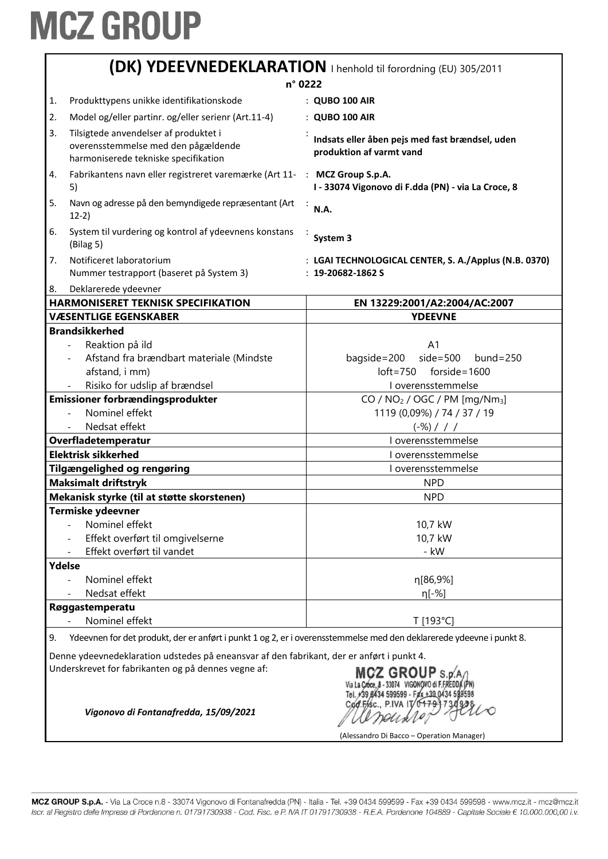|                                                                                                                                                                                                                                                                                                       | (DK) YDEEVNEDEKLARATION   henhold til forordning (EU) 305/2011                                                       |                                                                                            |  |  |
|-------------------------------------------------------------------------------------------------------------------------------------------------------------------------------------------------------------------------------------------------------------------------------------------------------|----------------------------------------------------------------------------------------------------------------------|--------------------------------------------------------------------------------------------|--|--|
|                                                                                                                                                                                                                                                                                                       | n° 0222                                                                                                              |                                                                                            |  |  |
| 1.                                                                                                                                                                                                                                                                                                    | Produkttypens unikke identifikationskode                                                                             | : QUBO 100 AIR                                                                             |  |  |
| 2.                                                                                                                                                                                                                                                                                                    | Model og/eller partinr. og/eller serienr (Art.11-4)                                                                  | : QUBO 100 AIR                                                                             |  |  |
| 3.                                                                                                                                                                                                                                                                                                    | Tilsigtede anvendelser af produktet i<br>overensstemmelse med den pågældende<br>harmoniserede tekniske specifikation | Indsats eller åben pejs med fast brændsel, uden<br>produktion af varmt vand                |  |  |
| 4.                                                                                                                                                                                                                                                                                                    | Fabrikantens navn eller registreret varemærke (Art 11-<br>5)                                                         | : MCZ Group S.p.A.<br>I - 33074 Vigonovo di F.dda (PN) - via La Croce, 8                   |  |  |
| 5.                                                                                                                                                                                                                                                                                                    | Navn og adresse på den bemyndigede repræsentant (Art<br>$12-2)$                                                      | N.A.                                                                                       |  |  |
| 6.                                                                                                                                                                                                                                                                                                    | System til vurdering og kontrol af ydeevnens konstans<br>(Bilag 5)                                                   | System 3                                                                                   |  |  |
| 7.                                                                                                                                                                                                                                                                                                    | Notificeret laboratorium<br>Nummer testrapport (baseret på System 3)                                                 | : LGAI TECHNOLOGICAL CENTER, S. A./Applus (N.B. 0370)<br>$: 19 - 20682 - 1862S$            |  |  |
| 8.                                                                                                                                                                                                                                                                                                    | Deklarerede ydeevner                                                                                                 |                                                                                            |  |  |
|                                                                                                                                                                                                                                                                                                       | <b>HARMONISERET TEKNISK SPECIFIKATION</b>                                                                            | EN 13229:2001/A2:2004/AC:2007                                                              |  |  |
|                                                                                                                                                                                                                                                                                                       | <b>VÆSENTLIGE EGENSKABER</b>                                                                                         | <b>YDEEVNE</b>                                                                             |  |  |
|                                                                                                                                                                                                                                                                                                       | <b>Brandsikkerhed</b><br>Reaktion på ild<br>Afstand fra brændbart materiale (Mindste<br>afstand, i mm)               | A <sub>1</sub><br>$side=500$<br>bagside=200<br>$bund = 250$<br>$loft = 750$ forside = 1600 |  |  |
|                                                                                                                                                                                                                                                                                                       | Risiko for udslip af brændsel                                                                                        | I overensstemmelse                                                                         |  |  |
|                                                                                                                                                                                                                                                                                                       | Emissioner forbrændingsprodukter                                                                                     | CO / $NO2$ / OGC / PM [mg/Nm <sub>3</sub> ]                                                |  |  |
|                                                                                                                                                                                                                                                                                                       | Nominel effekt<br>Nedsat effekt                                                                                      | 1119 (0,09%) / 74 / 37 / 19<br>$(-\%)$ / / /                                               |  |  |
|                                                                                                                                                                                                                                                                                                       | Overfladetemperatur                                                                                                  | I overensstemmelse                                                                         |  |  |
|                                                                                                                                                                                                                                                                                                       | <b>Elektrisk sikkerhed</b>                                                                                           | I overensstemmelse                                                                         |  |  |
|                                                                                                                                                                                                                                                                                                       | <b>Tilgængelighed og rengøring</b>                                                                                   | I overensstemmelse                                                                         |  |  |
|                                                                                                                                                                                                                                                                                                       | <b>Maksimalt driftstryk</b>                                                                                          | <b>NPD</b>                                                                                 |  |  |
|                                                                                                                                                                                                                                                                                                       | Mekanisk styrke (til at støtte skorstenen)                                                                           | <b>NPD</b>                                                                                 |  |  |
|                                                                                                                                                                                                                                                                                                       | Termiske ydeevner                                                                                                    |                                                                                            |  |  |
|                                                                                                                                                                                                                                                                                                       | Nominel effekt                                                                                                       | 10,7 kW                                                                                    |  |  |
|                                                                                                                                                                                                                                                                                                       | Effekt overført til omgivelserne                                                                                     | 10,7 kW                                                                                    |  |  |
|                                                                                                                                                                                                                                                                                                       | Effekt overført til vandet                                                                                           | - kW                                                                                       |  |  |
| Ydelse                                                                                                                                                                                                                                                                                                |                                                                                                                      |                                                                                            |  |  |
|                                                                                                                                                                                                                                                                                                       | Nominel effekt                                                                                                       | η[86,9%]                                                                                   |  |  |
|                                                                                                                                                                                                                                                                                                       | Nedsat effekt                                                                                                        | $\eta$ [-%]                                                                                |  |  |
|                                                                                                                                                                                                                                                                                                       | Røggastemperatu                                                                                                      |                                                                                            |  |  |
|                                                                                                                                                                                                                                                                                                       | Nominel effekt                                                                                                       | T [193°C]                                                                                  |  |  |
| 9.                                                                                                                                                                                                                                                                                                    | Ydeevnen for det produkt, der er anført i punkt 1 og 2, er i overensstemmelse med den deklarerede ydeevne i punkt 8. |                                                                                            |  |  |
| Denne ydeevnedeklaration udstedes på eneansvar af den fabrikant, der er anført i punkt 4.<br>Underskrevet for fabrikanten og på dennes vegne af:<br>MCZ GROUP S.p.<br>Via L <b>a Cróce, 8 - 33074 - VIGONOV</b> O di F.FREDE<br>Tel. #39 £1434 599599 - Fax +39 0434 599<br>Cod.Fisc., P.IVA IT/01791 |                                                                                                                      |                                                                                            |  |  |
|                                                                                                                                                                                                                                                                                                       | Vigonovo di Fontanafredda, 15/09/2021                                                                                | (Alessandro Di Bacco – Operation Manager)                                                  |  |  |

MCZ GROUP S.p.A. - Via La Croce n.8 - 33074 Vigonovo di Fontanafredda (PN) - Italia - Tel. +39 0434 599599 - Fax +39 0434 599598 - www.mcz.it - mcz@mcz.it Iscr. al Registro delle Imprese di Pordenone n. 01791730938 - Cod. Fisc. e P. IVA IT 01791730938 - R.E.A. Pordenone 104889 - Capitale Sociale € 10.000.000,00 i.v.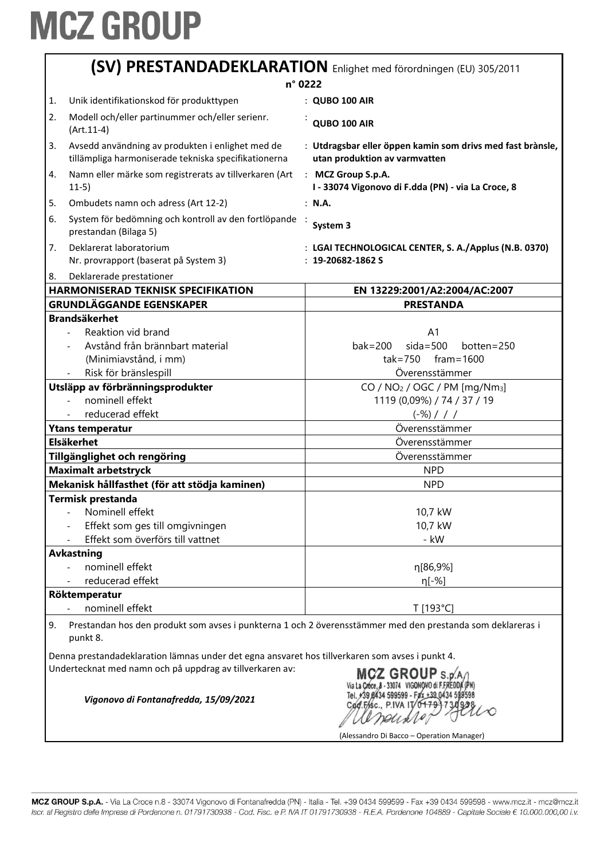|    | (SV) PRESTANDADEKLARATION Enlighet med förordningen (EU) 305/2011                                                                                                                           |                                                                                                            |  |
|----|---------------------------------------------------------------------------------------------------------------------------------------------------------------------------------------------|------------------------------------------------------------------------------------------------------------|--|
|    | n° 0222                                                                                                                                                                                     |                                                                                                            |  |
| 1. | Unik identifikationskod för produkttypen                                                                                                                                                    | : QUBO 100 AIR                                                                                             |  |
| 2. | Modell och/eller partinummer och/eller serienr.<br>$(Art.11-4)$                                                                                                                             | QUBO 100 AIR                                                                                               |  |
| 3. | Avsedd användning av produkten i enlighet med de<br>tillämpliga harmoniserade tekniska specifikationerna                                                                                    | : Utdragsbar eller öppen kamin som drivs med fast brànsle,<br>utan produktion av varmvatten                |  |
| 4. | Namn eller märke som registrerats av tillverkaren (Art<br>$11-5)$                                                                                                                           | : MCZ Group S.p.A.<br>I - 33074 Vigonovo di F.dda (PN) - via La Croce, 8                                   |  |
| 5. | Ombudets namn och adress (Art 12-2)                                                                                                                                                         | : N.A.                                                                                                     |  |
| 6. | System för bedömning och kontroll av den fortlöpande :<br>prestandan (Bilaga 5)                                                                                                             | System 3                                                                                                   |  |
| 7. | Deklarerat laboratorium<br>Nr. provrapport (baserat på System 3)                                                                                                                            | : LGAI TECHNOLOGICAL CENTER, S. A./Applus (N.B. 0370)<br>$: 19 - 20682 - 1862S$                            |  |
| 8. | Deklarerade prestationer                                                                                                                                                                    |                                                                                                            |  |
|    | <b>HARMONISERAD TEKNISK SPECIFIKATION</b>                                                                                                                                                   | EN 13229:2001/A2:2004/AC:2007                                                                              |  |
|    | <b>GRUNDLÄGGANDE EGENSKAPER</b>                                                                                                                                                             | <b>PRESTANDA</b>                                                                                           |  |
|    | <b>Brandsäkerhet</b>                                                                                                                                                                        |                                                                                                            |  |
|    | Reaktion vid brand                                                                                                                                                                          | A <sub>1</sub>                                                                                             |  |
|    | Avstånd från brännbart material                                                                                                                                                             | $sida = 500$<br>$bak = 200$<br>botten=250                                                                  |  |
|    | (Minimiavstånd, i mm)                                                                                                                                                                       | $\text{tak} = 750$ fram = 1600                                                                             |  |
|    | Risk för bränslespill                                                                                                                                                                       | Överensstämmer                                                                                             |  |
|    | Utsläpp av förbränningsprodukter                                                                                                                                                            | CO / $NO2$ / OGC / PM [mg/Nm <sub>3</sub> ]                                                                |  |
|    | nominell effekt<br>$\blacksquare$                                                                                                                                                           | 1119 (0,09%) / 74 / 37 / 19                                                                                |  |
|    | reducerad effekt                                                                                                                                                                            | $(-\%)$ / / /                                                                                              |  |
|    | <b>Ytans temperatur</b>                                                                                                                                                                     | Överensstämmer                                                                                             |  |
|    | <b>Elsäkerhet</b>                                                                                                                                                                           | Överensstämmer                                                                                             |  |
|    | Tillgänglighet och rengöring                                                                                                                                                                | Överensstämmer                                                                                             |  |
|    | <b>Maximalt arbetstryck</b>                                                                                                                                                                 | <b>NPD</b>                                                                                                 |  |
|    | Mekanisk hållfasthet (för att stödja kaminen)                                                                                                                                               | <b>NPD</b>                                                                                                 |  |
|    | Termisk prestanda                                                                                                                                                                           |                                                                                                            |  |
|    | - Nominell effekt                                                                                                                                                                           | 10,7 kW                                                                                                    |  |
|    | Effekt som ges till omgivningen                                                                                                                                                             | 10,7 kW                                                                                                    |  |
|    | Effekt som överförs till vattnet                                                                                                                                                            | - kW                                                                                                       |  |
|    | <b>Avkastning</b>                                                                                                                                                                           |                                                                                                            |  |
|    | nominell effekt                                                                                                                                                                             | n[86,9%]                                                                                                   |  |
|    | reducerad effekt                                                                                                                                                                            | η[-%]                                                                                                      |  |
|    | Röktemperatur                                                                                                                                                                               |                                                                                                            |  |
|    | nominell effekt                                                                                                                                                                             | T [193°C]                                                                                                  |  |
| 9. | punkt 8.                                                                                                                                                                                    | Prestandan hos den produkt som avses i punkterna 1 och 2 överensstämmer med den prestanda som deklareras i |  |
|    | Denna prestandadeklaration lämnas under det egna ansvaret hos tillverkaren som avses i punkt 4.                                                                                             |                                                                                                            |  |
|    | Undertecknat med namn och på uppdrag av tillverkaren av:<br>MCZ GROUP s.p.<br>Tel. +39 0434 599599 - Fax +39 0434 59<br>Vigonovo di Fontanafredda, 15/09/2021<br>Cød.F/isc., P.IVA IT/04791 |                                                                                                            |  |
|    |                                                                                                                                                                                             |                                                                                                            |  |

(Alessandro Di Bacco - Operation Manager)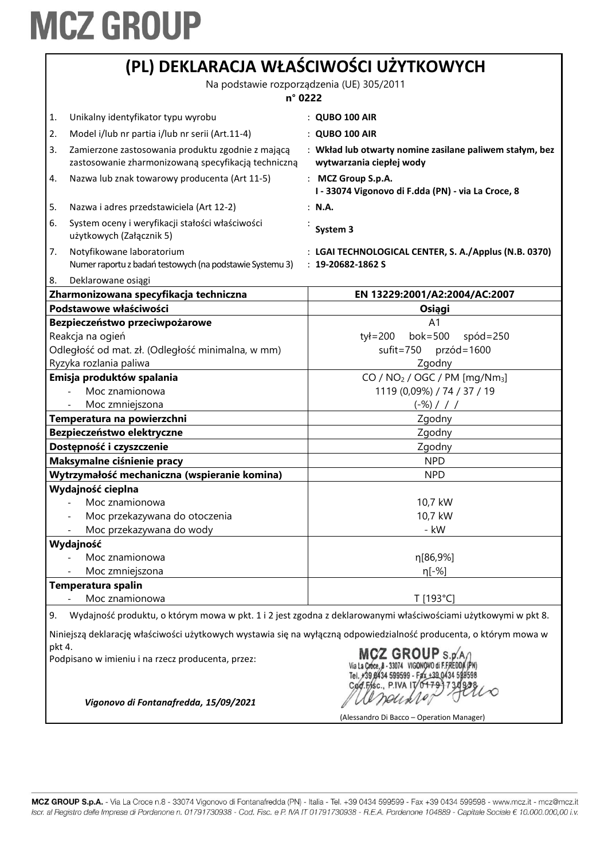|                                                                                                                                                                                                                                          | (PL) DEKLARACJA WŁAŚCIWOŚCI UŻYTKOWYCH<br>Na podstawie rozporządzenia (UE) 305/2011<br>$n^{\circ}$ 0222  |                                                                                     |  |
|------------------------------------------------------------------------------------------------------------------------------------------------------------------------------------------------------------------------------------------|----------------------------------------------------------------------------------------------------------|-------------------------------------------------------------------------------------|--|
|                                                                                                                                                                                                                                          |                                                                                                          |                                                                                     |  |
|                                                                                                                                                                                                                                          |                                                                                                          |                                                                                     |  |
| 1.                                                                                                                                                                                                                                       | Unikalny identyfikator typu wyrobu                                                                       | $\therefore$ QUBO 100 AIR                                                           |  |
| 2.                                                                                                                                                                                                                                       | Model i/lub nr partia i/lub nr serii (Art.11-4)                                                          | $:$ QUBO 100 AIR                                                                    |  |
| 3.                                                                                                                                                                                                                                       | Zamierzone zastosowania produktu zgodnie z mającą<br>zastosowanie zharmonizowaną specyfikacją techniczną | : Wkład lub otwarty nomine zasilane paliwem stałym, bez<br>wytwarzania ciepłej wody |  |
| 4.                                                                                                                                                                                                                                       | Nazwa lub znak towarowy producenta (Art 11-5)                                                            | : MCZ Group S.p.A.<br>I - 33074 Vigonovo di F.dda (PN) - via La Croce, 8            |  |
| 5.                                                                                                                                                                                                                                       | Nazwa i adres przedstawiciela (Art 12-2)                                                                 | : N.A.                                                                              |  |
| 6.                                                                                                                                                                                                                                       | System oceny i weryfikacji stałości właściwości<br>użytkowych (Załącznik 5)                              | System 3                                                                            |  |
| 7.                                                                                                                                                                                                                                       | Notyfikowane laboratorium<br>Numer raportu z badań testowych (na podstawie Systemu 3)                    | : LGAI TECHNOLOGICAL CENTER, S. A./Applus (N.B. 0370)<br>$: 19 - 20682 - 1862S$     |  |
| 8.                                                                                                                                                                                                                                       | Deklarowane osiągi                                                                                       |                                                                                     |  |
|                                                                                                                                                                                                                                          | Zharmonizowana specyfikacja techniczna                                                                   | EN 13229:2001/A2:2004/AC:2007                                                       |  |
|                                                                                                                                                                                                                                          | Podstawowe właściwości                                                                                   | Osiągi                                                                              |  |
|                                                                                                                                                                                                                                          | Bezpieczeństwo przeciwpożarowe<br>Reakcja na ogień                                                       | A <sub>1</sub><br>tył=200 bok=500<br>$spód = 250$                                   |  |
|                                                                                                                                                                                                                                          | Odległość od mat. zł. (Odległość minimalna, w mm)                                                        | sufit=750 przód=1600                                                                |  |
|                                                                                                                                                                                                                                          | Ryzyka rozlania paliwa                                                                                   | Zgodny                                                                              |  |
|                                                                                                                                                                                                                                          | Emisja produktów spalania                                                                                | CO / $NO2$ / OGC / PM [mg/Nm <sub>3</sub> ]                                         |  |
|                                                                                                                                                                                                                                          | Moc znamionowa                                                                                           | 1119 (0,09%) / 74 / 37 / 19                                                         |  |
|                                                                                                                                                                                                                                          | Moc zmniejszona                                                                                          | $(-\%)$ / / /                                                                       |  |
| Temperatura na powierzchni                                                                                                                                                                                                               |                                                                                                          | Zgodny                                                                              |  |
|                                                                                                                                                                                                                                          | Bezpieczeństwo elektryczne                                                                               | Zgodny                                                                              |  |
|                                                                                                                                                                                                                                          | Dostępność i czyszczenie                                                                                 | Zgodny                                                                              |  |
| Maksymalne ciśnienie pracy                                                                                                                                                                                                               |                                                                                                          | <b>NPD</b>                                                                          |  |
|                                                                                                                                                                                                                                          | Wytrzymałość mechaniczna (wspieranie komina)                                                             | <b>NPD</b>                                                                          |  |
|                                                                                                                                                                                                                                          | Wydajność cieplna                                                                                        |                                                                                     |  |
|                                                                                                                                                                                                                                          | Moc znamionowa                                                                                           | 10,7 kW                                                                             |  |
|                                                                                                                                                                                                                                          | Moc przekazywana do otoczenia                                                                            | 10,7 kW                                                                             |  |
|                                                                                                                                                                                                                                          | Moc przekazywana do wody                                                                                 | - kW                                                                                |  |
|                                                                                                                                                                                                                                          | Wydajność                                                                                                |                                                                                     |  |
|                                                                                                                                                                                                                                          | Moc znamionowa                                                                                           | η[86,9%]                                                                            |  |
|                                                                                                                                                                                                                                          | Moc zmniejszona                                                                                          | $n[-%]$                                                                             |  |
| Temperatura spalin<br>Moc znamionowa                                                                                                                                                                                                     |                                                                                                          | T [193°C]                                                                           |  |
|                                                                                                                                                                                                                                          |                                                                                                          |                                                                                     |  |
| Wydajność produktu, o którym mowa w pkt. 1 i 2 jest zgodna z deklarowanymi właściwościami użytkowymi w pkt 8.<br>9.<br>Niniejszą deklarację właściwości użytkowych wystawia się na wyłączną odpowiedzialność producenta, o którym mowa w |                                                                                                          |                                                                                     |  |
| pkt 4.                                                                                                                                                                                                                                   | Podpisano w imieniu i na rzecz producenta, przez:                                                        | Z GROUP S.D.A<br>+39 8434 599599 - Fax +39 0434 598598<br>Cad.Fisc., P.IVA IV 0179  |  |
|                                                                                                                                                                                                                                          | Vigonovo di Fontanafredda, 15/09/2021                                                                    | (Alessandro Di Bacco – Operation Manager)                                           |  |

٦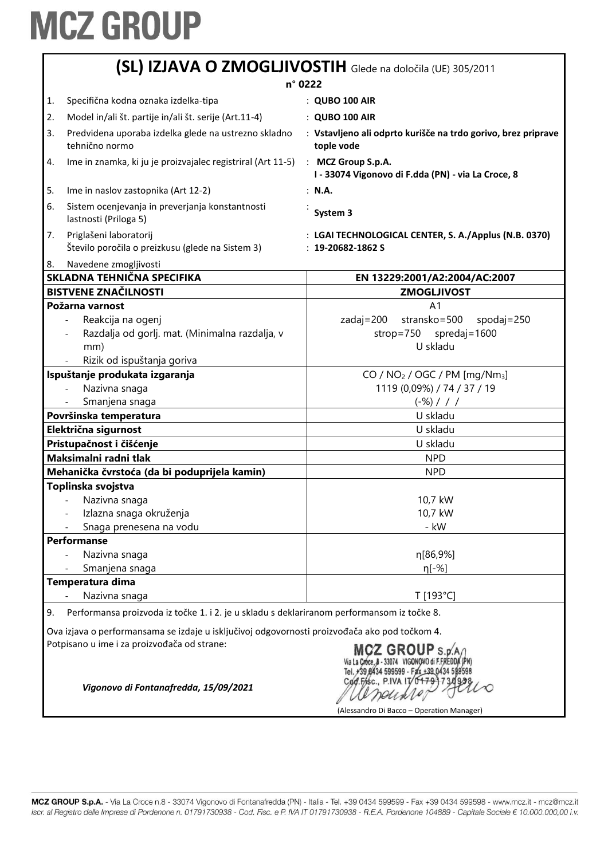|    | (SL) IZJAVA O ZMOGLJIVOSTIH Glede na določila (UE) 305/2011<br>n° 0222                                                                       |                                                                                                        |  |
|----|----------------------------------------------------------------------------------------------------------------------------------------------|--------------------------------------------------------------------------------------------------------|--|
|    |                                                                                                                                              |                                                                                                        |  |
| 1. | Specifična kodna oznaka izdelka-tipa                                                                                                         | : QUBO 100 AIR                                                                                         |  |
| 2. | Model in/ali št. partije in/ali št. serije (Art.11-4)                                                                                        | : QUBO 100 AIR                                                                                         |  |
| 3. | Predvidena uporaba izdelka glede na ustrezno skladno<br>tehnično normo                                                                       | : Vstavljeno ali odprto kurišče na trdo gorivo, brez priprave<br>tople vode                            |  |
| 4. | Ime in znamka, ki ju je proizvajalec registriral (Art 11-5)                                                                                  | : MCZ Group S.p.A.<br>I - 33074 Vigonovo di F.dda (PN) - via La Croce, 8                               |  |
| 5. | Ime in naslov zastopnika (Art 12-2)                                                                                                          | : N.A.                                                                                                 |  |
| 6. | Sistem ocenjevanja in preverjanja konstantnosti<br>lastnosti (Priloga 5)                                                                     | System 3                                                                                               |  |
| 7. | Priglašeni laboratorij<br>Število poročila o preizkusu (glede na Sistem 3)                                                                   | : LGAI TECHNOLOGICAL CENTER, S. A./Applus (N.B. 0370)<br>$: 19 - 20682 - 1862S$                        |  |
| 8. | Navedene zmogljivosti                                                                                                                        |                                                                                                        |  |
|    | SKLADNA TEHNIČNA SPECIFIKA                                                                                                                   | EN 13229:2001/A2:2004/AC:2007                                                                          |  |
|    | <b>BISTVENE ZNAČILNOSTI</b>                                                                                                                  | <b>ZMOGLJIVOST</b>                                                                                     |  |
|    | Požarna varnost<br>Reakcija na ogenj<br>Razdalja od gorlj. mat. (Minimalna razdalja, v<br>mm)<br>Rizik od ispuštanja goriva                  | A <sub>1</sub><br>$zadaj = 200$<br>stransko=500<br>spodaj= $250$<br>strop=750 spredaj=1600<br>U skladu |  |
|    | Ispuštanje produkata izgaranja                                                                                                               | $CO / NO2 / OGC / PM [mg/Nm3]$                                                                         |  |
|    | Nazivna snaga                                                                                                                                | 1119 (0,09%) / 74 / 37 / 19                                                                            |  |
|    | Smanjena snaga                                                                                                                               | $(-\%)$ / / /                                                                                          |  |
|    | Površinska temperatura                                                                                                                       | U skladu                                                                                               |  |
|    | Električna sigurnost                                                                                                                         | U skladu                                                                                               |  |
|    | Pristupačnost i čišćenje                                                                                                                     | U skladu                                                                                               |  |
|    | Maksimalni radni tlak                                                                                                                        | <b>NPD</b>                                                                                             |  |
|    | Mehanička čvrstoća (da bi poduprijela kamin)                                                                                                 | <b>NPD</b>                                                                                             |  |
|    | Toplinska svojstva                                                                                                                           |                                                                                                        |  |
|    | Nazivna snaga                                                                                                                                | 10,7 kW                                                                                                |  |
|    | Izlazna snaga okruženja                                                                                                                      | 10,7 kW                                                                                                |  |
|    | Snaga prenesena na vodu                                                                                                                      | - kW                                                                                                   |  |
|    | <b>Performanse</b>                                                                                                                           |                                                                                                        |  |
|    | Nazivna snaga                                                                                                                                | η[86,9%]                                                                                               |  |
|    | Smanjena snaga                                                                                                                               | η[-%]                                                                                                  |  |
|    | Temperatura dima<br>Nazivna snaga                                                                                                            | T [193°C]                                                                                              |  |
|    |                                                                                                                                              |                                                                                                        |  |
| 9. | Performansa proizvoda iz točke 1. i 2. je u skladu s deklariranom performansom iz točke 8.                                                   |                                                                                                        |  |
|    | Ova izjava o performansama se izdaje u isključivoj odgovornosti proizvođača ako pod točkom 4.<br>Potpisano u ime i za proizvođača od strane: | MCZ GROUP S.p.A<br>0434 599599 - Fax +39 0434                                                          |  |
|    | Vigonovo di Fontanafredda, 15/09/2021                                                                                                        | Cod.Fisc., P.IVA IT/04791<br>(Alessandro Di Bacco – Operation Manager)                                 |  |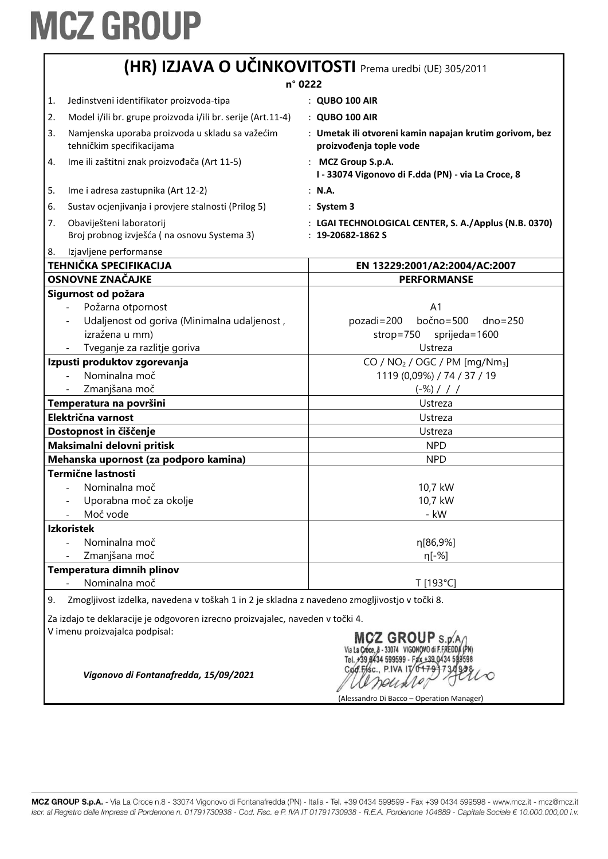|                                                                                                                                                                    |                                                                                              | (HR) IZJAVA O UČINKOVITOSTI Prema uredbi (UE) 305/2011                             |
|--------------------------------------------------------------------------------------------------------------------------------------------------------------------|----------------------------------------------------------------------------------------------|------------------------------------------------------------------------------------|
| n° 0222                                                                                                                                                            |                                                                                              |                                                                                    |
| 1.                                                                                                                                                                 | Jedinstveni identifikator proizvoda-tipa                                                     | : QUBO 100 AIR                                                                     |
| 2.                                                                                                                                                                 | Model i/ili br. grupe proizvoda i/ili br. serije (Art.11-4)                                  | : QUBO 100 AIR                                                                     |
| 3.                                                                                                                                                                 | Namjenska uporaba proizvoda u skladu sa važećim<br>tehničkim specifikacijama                 | : Umetak ili otvoreni kamin napajan krutim gorivom, bez<br>proizvođenja tople vode |
| 4.                                                                                                                                                                 | Ime ili zaštitni znak proizvođača (Art 11-5)                                                 | : MCZ Group S.p.A.<br>I - 33074 Vigonovo di F.dda (PN) - via La Croce, 8           |
| 5.                                                                                                                                                                 | Ime i adresa zastupnika (Art 12-2)                                                           | : N.A.                                                                             |
| 6.                                                                                                                                                                 | Sustav ocjenjivanja i provjere stalnosti (Prilog 5)                                          | $:$ System 3                                                                       |
| 7.                                                                                                                                                                 | Obaviješteni laboratorij<br>Broj probnog izvješća (na osnovu Systema 3)                      | : LGAI TECHNOLOGICAL CENTER, S. A./Applus (N.B. 0370)<br>$: 19 - 20682 - 1862S$    |
| 8.                                                                                                                                                                 | Izjavljene performanse                                                                       |                                                                                    |
|                                                                                                                                                                    | <b>TEHNIČKA SPECIFIKACIJA</b>                                                                | EN 13229:2001/A2:2004/AC:2007                                                      |
|                                                                                                                                                                    | <b>OSNOVNE ZNAČAJKE</b>                                                                      | <b>PERFORMANSE</b>                                                                 |
|                                                                                                                                                                    | Sigurnost od požara                                                                          |                                                                                    |
|                                                                                                                                                                    | Požarna otpornost                                                                            | A <sub>1</sub>                                                                     |
|                                                                                                                                                                    | Udaljenost od goriva (Minimalna udaljenost,                                                  | $bočno = 500$<br>pozadi=200<br>$dno = 250$                                         |
|                                                                                                                                                                    | izražena u mm)                                                                               | strop=750<br>sprijeda=1600                                                         |
|                                                                                                                                                                    | Tveganje za razlitje goriva                                                                  | Ustreza                                                                            |
|                                                                                                                                                                    | Izpusti produktov zgorevanja                                                                 | CO / $NO2$ / OGC / PM [mg/Nm <sub>3</sub> ]                                        |
|                                                                                                                                                                    | Nominalna moč                                                                                | 1119 (0,09%) / 74 / 37 / 19                                                        |
|                                                                                                                                                                    | Zmanjšana moč                                                                                | $(-\%)$ / / /                                                                      |
| Temperatura na površini                                                                                                                                            |                                                                                              | Ustreza                                                                            |
|                                                                                                                                                                    | Električna varnost                                                                           | Ustreza                                                                            |
| Dostopnost in čiščenje                                                                                                                                             |                                                                                              | Ustreza                                                                            |
|                                                                                                                                                                    | Maksimalni delovni pritisk                                                                   | <b>NPD</b>                                                                         |
|                                                                                                                                                                    | Mehanska upornost (za podporo kamina)                                                        | <b>NPD</b>                                                                         |
|                                                                                                                                                                    | <b>Termične lastnosti</b>                                                                    |                                                                                    |
|                                                                                                                                                                    | Nominalna moč                                                                                | 10,7 kW                                                                            |
|                                                                                                                                                                    | Uporabna moč za okolje                                                                       | 10,7 kW                                                                            |
|                                                                                                                                                                    | Moč vode                                                                                     | - kW                                                                               |
| <b>Izkoristek</b>                                                                                                                                                  |                                                                                              |                                                                                    |
|                                                                                                                                                                    | Nominalna moč<br>Zmanjšana moč                                                               | η[86,9%]                                                                           |
|                                                                                                                                                                    |                                                                                              | η[-%]                                                                              |
|                                                                                                                                                                    | Temperatura dimnih plinov<br>Nominalna moč                                                   |                                                                                    |
| 9.                                                                                                                                                                 | Zmogljivost izdelka, navedena v toškah 1 in 2 je skladna z navedeno zmogljivostjo v točki 8. | T [193°C]                                                                          |
|                                                                                                                                                                    |                                                                                              |                                                                                    |
|                                                                                                                                                                    | Za izdajo te deklaracije je odgovoren izrecno proizvajalec, naveden v točki 4.               |                                                                                    |
| V imenu proizvajalca podpisal:<br>MCZ GROUP s.r<br>Cod.Fisc., P.IVA IT/0179-<br>Vigonovo di Fontanafredda, 15/09/2021<br>(Alessandro Di Bacco – Operation Manager) |                                                                                              |                                                                                    |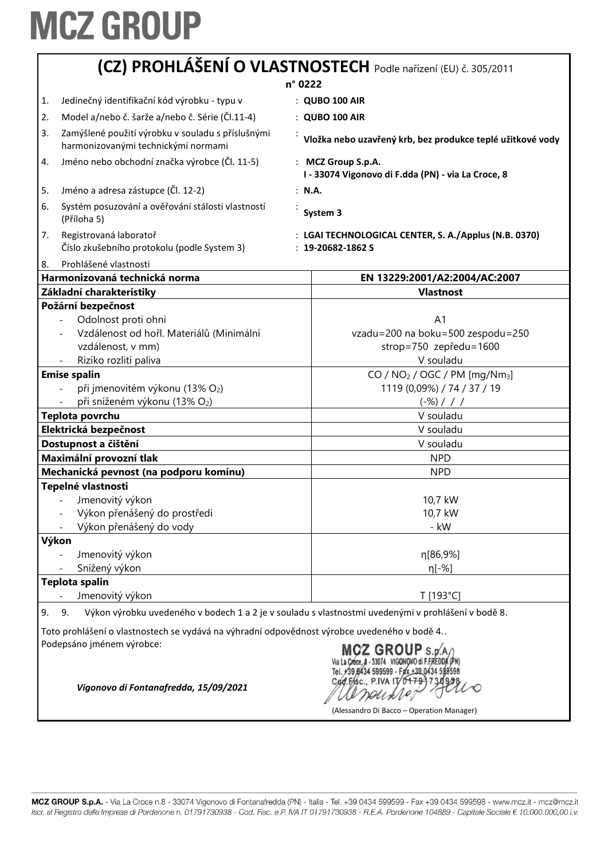|                         | (CZ) PROHLÁŠENÍ O VLASTNOSTECH Podle nařízení (EU) č. 305/2011                              |                                                                                                    |  |
|-------------------------|---------------------------------------------------------------------------------------------|----------------------------------------------------------------------------------------------------|--|
|                         | n° 0222                                                                                     |                                                                                                    |  |
| 1.                      | Jedinečný identifikační kód výrobku - typu v                                                | : QUBO 100 AIR                                                                                     |  |
| 2.                      | Model a/nebo č. šarže a/nebo č. Série (Čl.11-4)                                             | : QUBO 100 AIR                                                                                     |  |
| 3.                      | Zamýšlené použití výrobku v souladu s příslušnými<br>harmonizovanými technickými normami    | Vložka nebo uzavřený krb, bez produkce teplé užitkové vody                                         |  |
| 4.                      | Jméno nebo obchodní značka výrobce (Čl. 11-5)                                               | : MCZ Group S.p.A.<br>I - 33074 Vigonovo di F.dda (PN) - via La Croce, 8                           |  |
| 5.                      | Jméno a adresa zástupce (Čl. 12-2)                                                          | : N.A.                                                                                             |  |
| 6.                      | Systém posuzování a ověřování stálosti vlastností<br>(Příloha 5)                            | System 3                                                                                           |  |
| 7.                      | Registrovaná laboratoř<br>Číslo zkušebního protokolu (podle System 3)                       | : LGAI TECHNOLOGICAL CENTER, S. A./Applus (N.B. 0370)<br>$: 19 - 20682 - 1862S$                    |  |
| 8.                      | Prohlášené vlastnosti                                                                       |                                                                                                    |  |
|                         | Harmonizovaná technická norma<br>Základní charakteristiky                                   | EN 13229:2001/A2:2004/AC:2007<br><b>Vlastnost</b>                                                  |  |
|                         | Požární bezpečnost                                                                          |                                                                                                    |  |
|                         | Odolnost proti ohni                                                                         | A1                                                                                                 |  |
|                         | Vzdálenost od hořl. Materiálů (Minimální                                                    | vzadu=200 na boku=500 zespodu=250                                                                  |  |
|                         | vzdálenost, v mm)                                                                           | strop=750 zepředu=1600                                                                             |  |
|                         | Riziko rozlití paliva                                                                       | V souladu                                                                                          |  |
|                         | <b>Emise spalin</b>                                                                         | CO / NO <sub>2</sub> / OGC / PM [mg/Nm <sub>3</sub> ]                                              |  |
|                         | při jmenovitém výkonu (13% O2)                                                              | 1119 (0,09%) / 74 / 37 / 19                                                                        |  |
|                         | při sníženém výkonu (13% O2)                                                                | $(-\%)$ / / /                                                                                      |  |
|                         | Teplota povrchu                                                                             | V souladu                                                                                          |  |
| Elektrická bezpečnost   |                                                                                             | V souladu                                                                                          |  |
| Dostupnost a čištění    |                                                                                             | V souladu                                                                                          |  |
| Maximální provozní tlak |                                                                                             | <b>NPD</b>                                                                                         |  |
|                         | Mechanická pevnost (na podporu komínu)                                                      | <b>NPD</b>                                                                                         |  |
|                         | Tepelné vlastnosti                                                                          |                                                                                                    |  |
|                         | Jmenovitý výkon                                                                             | 10,7 kW                                                                                            |  |
|                         | Výkon přenášený do prostředí                                                                | 10,7 kW                                                                                            |  |
|                         | Výkon přenášený do vody                                                                     | - kW                                                                                               |  |
| Výkon                   |                                                                                             |                                                                                                    |  |
|                         | Jmenovitý výkon                                                                             | η[86,9%]                                                                                           |  |
|                         | Snížený výkon                                                                               | $n[-%]$                                                                                            |  |
|                         | <b>Teplota spalin</b>                                                                       |                                                                                                    |  |
|                         | Jmenovitý výkon                                                                             | T [193°C]                                                                                          |  |
| 9.                      | 9.                                                                                          | Výkon výrobku uvedeného v bodech 1 a 2 je v souladu s vlastnostmi uvedenými v prohlášení v bodě 8. |  |
|                         | Toto prohlášení o vlastnostech se vydává na výhradní odpovědnost výrobce uvedeného v bodě 4 |                                                                                                    |  |
|                         | Podepsáno jménem výrobce:                                                                   | MCZ GROUP S.p.A/<br>Via La Croce, 8 - 33074 VIGONOVO di F.FREDDA (PN)                              |  |

Via La Cróce, 8 - 33074 VIGONOVO di F.FREDDA (PN)<br>Tel. #39 8434 599599 - Fax +39 0434 599598<br>Cod. Frsc., P.IVA IT/0+79 1730 938 alpentier

(Alessandro Di Bacco – Operation Manager)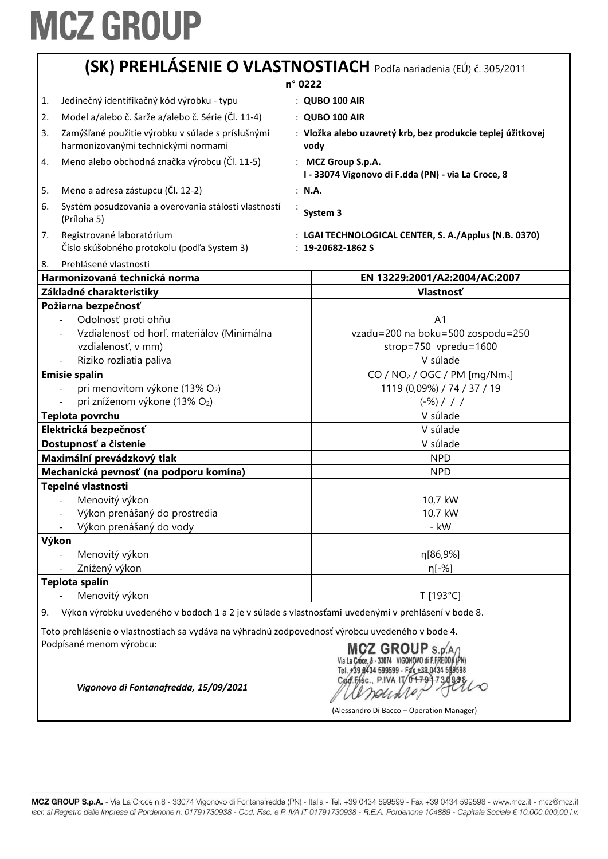|                                                                                                 | (SK) PREHLÁSENIE O VLASTNOSTIACH Podľa nariadenia (EÚ) č. 305/2011                                 |
|-------------------------------------------------------------------------------------------------|----------------------------------------------------------------------------------------------------|
|                                                                                                 | n° 0222                                                                                            |
| Jedinečný identifikačný kód výrobku - typu<br>1.                                                | : QUBO 100 AIR                                                                                     |
| Model a/alebo č. šarže a/alebo č. Série (Čl. 11-4)<br>2.                                        | : QUBO 100 AIR                                                                                     |
| Zamýšľané použitie výrobku v súlade s príslušnými<br>3.<br>harmonizovanými technickými normami  | : Vložka alebo uzavretý krb, bez produkcie teplej úžitkovej<br>vody                                |
| Meno alebo obchodná značka výrobcu (Čl. 11-5)<br>4.                                             | : MCZ Group S.p.A.<br>I - 33074 Vigonovo di F.dda (PN) - via La Croce, 8                           |
| Meno a adresa zástupcu (Čl. 12-2)<br>5.                                                         | : N.A.                                                                                             |
| 6.<br>Systém posudzovania a overovania stálosti vlastností<br>(Príloha 5)                       | System 3                                                                                           |
| Registrované laboratórium<br>7.<br>Číslo skúšobného protokolu (podľa System 3)                  | : LGAI TECHNOLOGICAL CENTER, S. A./Applus (N.B. 0370)<br>$: 19 - 20682 - 1862S$                    |
| Prehlásené vlastnosti<br>8.                                                                     |                                                                                                    |
| Harmonizovaná technická norma                                                                   | EN 13229:2001/A2:2004/AC:2007                                                                      |
| Základné charakteristiky                                                                        | Vlastnosť                                                                                          |
| Požiarna bezpečnosť                                                                             |                                                                                                    |
| Odolnosť proti ohňu                                                                             | A <sub>1</sub>                                                                                     |
| Vzdialenosť od horľ. materiálov (Minimálna                                                      | vzadu=200 na boku=500 zospodu=250                                                                  |
| vzdialenosť, v mm)                                                                              | strop=750 vpredu=1600                                                                              |
| Riziko rozliatia paliva                                                                         | V súlade                                                                                           |
| <b>Emisie spalín</b>                                                                            | CO / NO <sub>2</sub> / OGC / PM [mg/Nm <sub>3</sub> ]                                              |
| pri menovitom výkone (13% O2)                                                                   | 1119 (0,09%) / 74 / 37 / 19                                                                        |
| pri zníženom výkone (13% O2)                                                                    | $(-\%)$ / / /                                                                                      |
| Teplota povrchu                                                                                 | V súlade                                                                                           |
| Elektrická bezpečnosť                                                                           | V súlade                                                                                           |
| Dostupnosť a čistenie                                                                           | V súlade                                                                                           |
| Maximální prevádzkový tlak                                                                      | <b>NPD</b>                                                                                         |
| Mechanická pevnosť (na podporu komína)                                                          | <b>NPD</b>                                                                                         |
| Tepelné vlastnosti                                                                              |                                                                                                    |
| Menovitý výkon                                                                                  | 10,7 kW                                                                                            |
| Výkon prenášaný do prostredia                                                                   | 10.7 kW                                                                                            |
| Výkon prenášaný do vody                                                                         | - kW                                                                                               |
| Výkon                                                                                           |                                                                                                    |
| Menovitý výkon                                                                                  | η[86,9%]                                                                                           |
| Znížený výkon                                                                                   | η[-%]                                                                                              |
| Teplota spalín                                                                                  |                                                                                                    |
| Menovitý výkon                                                                                  | T [193°C]                                                                                          |
| 9.                                                                                              | Výkon výrobku uvedeného v bodoch 1 a 2 je v súlade s vlastnosťami uvedenými v prehlásení v bode 8. |
| Toto prehlásenie o vlastnostiach sa vydáva na výhradnú zodpovednosť výrobcu uvedeného v bode 4. |                                                                                                    |
|                                                                                                 |                                                                                                    |

Podpísané menom výrobcu:

MCZ GROUP S.p. A /<br>Via La Croce, 8 - 33074 VIGONOVO di F.FREDDA (PN)<br>Tel. +39 8434 599599 - Fax +39 0434 599598 Cod.Fisc., P.IVA IT/04791730938 reunte

(Alessandro Di Bacco – Operation Manager)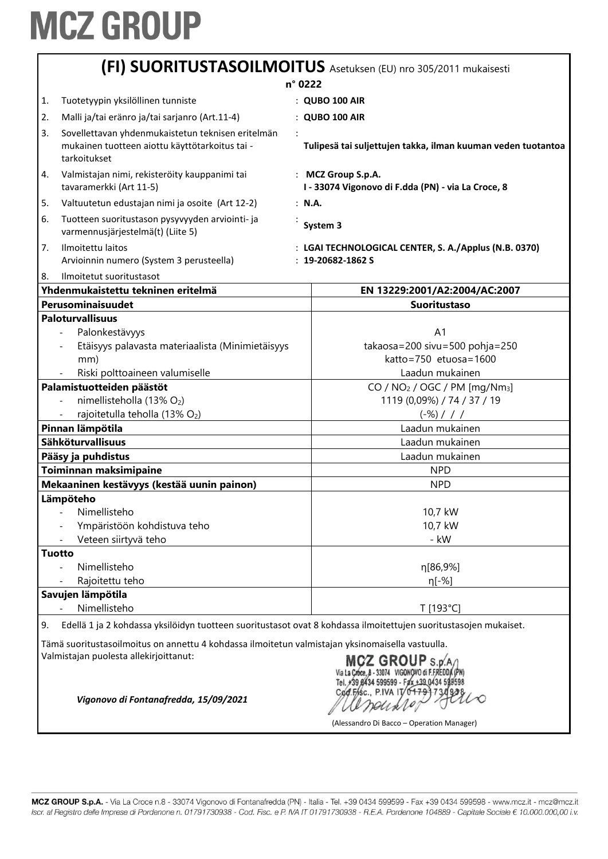|    |                                                                                                                                            |        | (FI) SUORITUSTASOILMOITUS Asetuksen (EU) nro 305/2011 mukaisesti                                                   |
|----|--------------------------------------------------------------------------------------------------------------------------------------------|--------|--------------------------------------------------------------------------------------------------------------------|
|    | n° 0222                                                                                                                                    |        |                                                                                                                    |
| 1. | Tuotetyypin yksilöllinen tunniste                                                                                                          |        | : QUBO 100 AIR                                                                                                     |
| 2. | Malli ja/tai eränro ja/tai sarjanro (Art.11-4)                                                                                             |        | : QUBO 100 AIR                                                                                                     |
| 3. | Sovellettavan yhdenmukaistetun teknisen eritelmän<br>mukainen tuotteen aiottu käyttötarkoitus tai -<br>tarkoitukset                        |        | Tulipesä tai suljettujen takka, ilman kuuman veden tuotantoa                                                       |
| 4. | Valmistajan nimi, rekisteröity kauppanimi tai<br>tavaramerkki (Art 11-5)                                                                   |        | : MCZ Group S.p.A.<br>I - 33074 Vigonovo di F.dda (PN) - via La Croce, 8                                           |
| 5. | Valtuutetun edustajan nimi ja osoite (Art 12-2)                                                                                            | : N.A. |                                                                                                                    |
| 6. | Tuotteen suoritustason pysyvyyden arviointi- ja<br>varmennusjärjestelmä(t) (Liite 5)                                                       |        | System 3                                                                                                           |
| 7. | Ilmoitettu laitos<br>Arvioinnin numero (System 3 perusteella)                                                                              |        | : LGAI TECHNOLOGICAL CENTER, S. A./Applus (N.B. 0370)<br>$: 19 - 20682 - 1862S$                                    |
| 8. | Ilmoitetut suoritustasot<br>Yhdenmukaistettu tekninen eritelmä                                                                             |        | EN 13229:2001/A2:2004/AC:2007                                                                                      |
|    | Perusominaisuudet                                                                                                                          |        | <b>Suoritustaso</b>                                                                                                |
|    | <b>Paloturvallisuus</b>                                                                                                                    |        |                                                                                                                    |
|    | Palonkestävyys                                                                                                                             |        | A <sub>1</sub>                                                                                                     |
|    | Etäisyys palavasta materiaalista (Minimietäisyys                                                                                           |        | takaosa=200 sivu=500 pohja=250                                                                                     |
|    | mm)                                                                                                                                        |        | katto=750 etuosa=1600                                                                                              |
|    | Riski polttoaineen valumiselle                                                                                                             |        | Laadun mukainen                                                                                                    |
|    | Palamistuotteiden päästöt                                                                                                                  |        | CO / $NO2$ / OGC / PM [mg/Nm <sub>3</sub> ]                                                                        |
|    | nimellisteholla (13% O2)                                                                                                                   |        | 1119 (0,09%) / 74 / 37 / 19                                                                                        |
|    | rajoitetulla teholla (13% O2)                                                                                                              |        | $(-\%)$ / / /                                                                                                      |
|    | Pinnan lämpötila                                                                                                                           |        | Laadun mukainen                                                                                                    |
|    | Sähköturvallisuus                                                                                                                          |        | Laadun mukainen                                                                                                    |
|    | Pääsy ja puhdistus                                                                                                                         |        | Laadun mukainen                                                                                                    |
|    | Toiminnan maksimipaine                                                                                                                     |        | <b>NPD</b>                                                                                                         |
|    | Mekaaninen kestävyys (kestää uunin painon)                                                                                                 |        | <b>NPD</b>                                                                                                         |
|    | Lämpöteho                                                                                                                                  |        |                                                                                                                    |
|    | - Nimellisteho                                                                                                                             |        | 10,7 kW                                                                                                            |
|    | Ympäristöön kohdistuva teho                                                                                                                |        | 10,7 kW                                                                                                            |
|    | Veteen siirtyvä teho                                                                                                                       |        | - kW                                                                                                               |
|    | <b>Tuotto</b>                                                                                                                              |        |                                                                                                                    |
|    | Nimellisteho                                                                                                                               |        | η[86,9%]                                                                                                           |
|    | Rajoitettu teho                                                                                                                            |        | η[-%]                                                                                                              |
|    | Savujen lämpötila                                                                                                                          |        |                                                                                                                    |
|    | Nimellisteho                                                                                                                               |        | T [193°C]                                                                                                          |
| 9. | Edellä 1 ja 2 kohdassa yksilöidyn tuotteen suoritustasot ovat 8 kohdassa ilmoitettujen suoritustasojen mukaiset.                           |        |                                                                                                                    |
|    | Tämä suoritustasoilmoitus on annettu 4 kohdassa ilmoitetun valmistajan yksinomaisella vastuulla.<br>Valmistajan puolesta allekirjoittanut: |        | MCZ GROUP S.p.A<br>Via La Cróce, 8 - 33074 VIGONOVO di F.FREDDA (PN)<br>Tel. +39,8434 599599 - Fax +39,0434 598598 |

CONFEC PIVA IT 6479 73092210

(Alessandro Di Bacco – Operation Manager)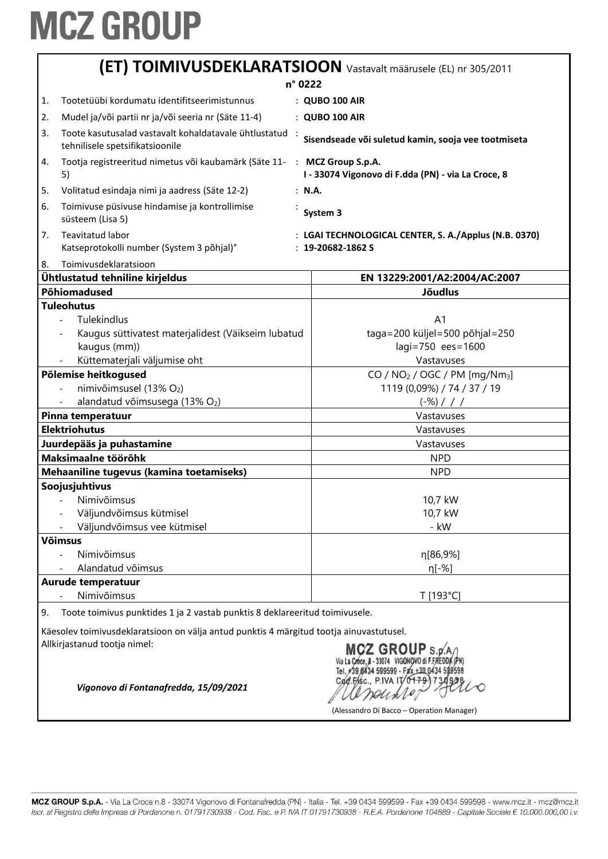| (ET) TOIMIVUSDEKLARATSIOON Vastavalt määrusele (EL) nr 305/2011                                                                               |                                                                                                     |                                                                                 |
|-----------------------------------------------------------------------------------------------------------------------------------------------|-----------------------------------------------------------------------------------------------------|---------------------------------------------------------------------------------|
|                                                                                                                                               |                                                                                                     | n° 0222                                                                         |
| 1.                                                                                                                                            | Tootetüübi kordumatu identifitseerimistunnus                                                        | : QUBO 100 AIR                                                                  |
| 2.                                                                                                                                            | Mudel ja/või partii nr ja/või seeria nr (Säte 11-4)                                                 | : QUBO 100 AIR                                                                  |
| 3.                                                                                                                                            | Toote kasutusalad vastavalt kohaldatavale ühtlustatud                                               |                                                                                 |
|                                                                                                                                               | tehnilisele spetsifikatsioonile                                                                     | Sisendseade või suletud kamin, sooja vee tootmiseta                             |
| 4.                                                                                                                                            | Tootja registreeritud nimetus või kaubamärk (Säte 11- : MCZ Group S.p.A.<br>5)                      | I - 33074 Vigonovo di F.dda (PN) - via La Croce, 8                              |
| 5.                                                                                                                                            | Volitatud esindaja nimi ja aadress (Säte 12-2)                                                      | : N.A.                                                                          |
| 6.                                                                                                                                            | Toimivuse püsivuse hindamise ja kontrollimise<br>süsteem (Lisa 5)                                   | System 3                                                                        |
| 7.                                                                                                                                            | Teavitatud labor<br>Katseprotokolli number (System 3 põhjal)°                                       | : LGAI TECHNOLOGICAL CENTER, S. A./Applus (N.B. 0370)<br>$: 19 - 20682 - 1862S$ |
| 8.                                                                                                                                            | Toimivusdeklaratsioon                                                                               |                                                                                 |
|                                                                                                                                               | Ühtlustatud tehniline kirjeldus                                                                     | EN 13229:2001/A2:2004/AC:2007                                                   |
|                                                                                                                                               | Põhiomadused                                                                                        | <b>Jõudlus</b>                                                                  |
|                                                                                                                                               | <b>Tuleohutus</b>                                                                                   |                                                                                 |
|                                                                                                                                               | Tulekindlus<br>$\blacksquare$<br>Kaugus süttivatest materjalidest (Väikseim lubatud<br>kaugus (mm)) | A <sub>1</sub><br>taga=200 küljel=500 põhjal=250<br>lagi=750 ees=1600           |
|                                                                                                                                               | Küttematerjali väljumise oht                                                                        | Vastavuses                                                                      |
|                                                                                                                                               | Põlemise heitkogused                                                                                | CO / NO <sub>2</sub> / OGC / PM [mg/Nm <sub>3</sub> ]                           |
|                                                                                                                                               | nimivõimsusel (13% O2)                                                                              | 1119 (0,09%) / 74 / 37 / 19                                                     |
|                                                                                                                                               | alandatud võimsusega (13% O2)                                                                       | $(-\%)$ / / /                                                                   |
| Pinna temperatuur                                                                                                                             |                                                                                                     | Vastavuses                                                                      |
| <b>Elektriohutus</b>                                                                                                                          |                                                                                                     | Vastavuses                                                                      |
|                                                                                                                                               | Juurdepääs ja puhastamine                                                                           | Vastavuses                                                                      |
| Maksimaalne töörõhk                                                                                                                           |                                                                                                     | <b>NPD</b>                                                                      |
|                                                                                                                                               | Mehaaniline tugevus (kamina toetamiseks)                                                            | <b>NPD</b>                                                                      |
|                                                                                                                                               | Soojusjuhtivus                                                                                      |                                                                                 |
|                                                                                                                                               | Nimivõimsus                                                                                         | 10,7 kW                                                                         |
|                                                                                                                                               | Väljundvõimsus kütmisel                                                                             | 10,7 kW                                                                         |
|                                                                                                                                               | Väljundvõimsus vee kütmisel                                                                         | - kW                                                                            |
|                                                                                                                                               | <b>Võimsus</b>                                                                                      |                                                                                 |
|                                                                                                                                               | Nimivõimsus                                                                                         | η[86,9%]                                                                        |
|                                                                                                                                               | Alandatud võimsus                                                                                   | η[-%]                                                                           |
|                                                                                                                                               | Aurude temperatuur<br>Nimivõimsus                                                                   | T [193°C]                                                                       |
| 9.                                                                                                                                            | Toote toimivus punktides 1 ja 2 vastab punktis 8 deklareeritud toimivusele.                         |                                                                                 |
|                                                                                                                                               |                                                                                                     |                                                                                 |
| Käesolev toimivusdeklaratsioon on välja antud punktis 4 märgitud tootja ainuvastutusel.<br>Allkirjastanud tootja nimel:<br>$CZ$ GROUP $s.p.'$ |                                                                                                     |                                                                                 |
|                                                                                                                                               | Vigonovo di Fontanafredda, 15/09/2021                                                               | (Alessandro Di Bacco - Operation Manager)                                       |
|                                                                                                                                               |                                                                                                     |                                                                                 |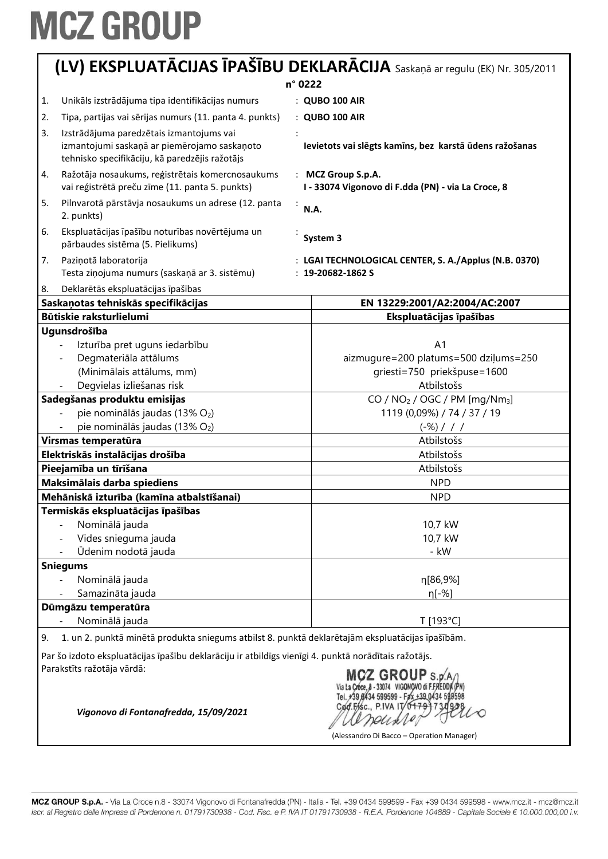| (LV) EKSPLUATĀCIJAS ĪPAŠĪBU DEKLARĀCIJA Saskaņā ar regulu (EK) Nr. 305/2011                                                                                |                                                                                                     |                                                                                               |
|------------------------------------------------------------------------------------------------------------------------------------------------------------|-----------------------------------------------------------------------------------------------------|-----------------------------------------------------------------------------------------------|
| n° 0222                                                                                                                                                    |                                                                                                     |                                                                                               |
| 1.                                                                                                                                                         | Unikāls izstrādājuma tipa identifikācijas numurs                                                    | : QUBO 100 AIR                                                                                |
| 2.                                                                                                                                                         | Tipa, partijas vai sērijas numurs (11. panta 4. punkts)                                             | : QUBO 100 AIR                                                                                |
| 3.                                                                                                                                                         | Izstrādājuma paredzētais izmantojums vai                                                            |                                                                                               |
|                                                                                                                                                            | izmantojumi saskaņā ar piemērojamo saskaņoto<br>tehnisko specifikāciju, kā paredzējis ražotājs      | Ievietots vai slēgts kamīns, bez karstā ūdens ražošanas                                       |
| 4.                                                                                                                                                         | Ražotāja nosaukums, reģistrētais komercnosaukums<br>vai reģistrētā preču zīme (11. panta 5. punkts) | : MCZ Group S.p.A.<br>I - 33074 Vigonovo di F.dda (PN) - via La Croce, 8                      |
| 5.                                                                                                                                                         | Pilnvarotā pārstāvja nosaukums un adrese (12. panta<br>2. punkts)                                   | ÷<br><b>N.A.</b>                                                                              |
| 6.                                                                                                                                                         | Ekspluatācijas īpašību noturības novērtējuma un<br>pārbaudes sistēma (5. Pielikums)                 | System 3                                                                                      |
| 7.                                                                                                                                                         | Paziņotā laboratorija                                                                               | : LGAI TECHNOLOGICAL CENTER, S. A./Applus (N.B. 0370)                                         |
|                                                                                                                                                            | Testa ziņojuma numurs (saskaņā ar 3. sistēmu)                                                       | $: 19 - 20682 - 1862S$                                                                        |
| 8.                                                                                                                                                         | Deklarētās ekspluatācijas īpašības                                                                  |                                                                                               |
|                                                                                                                                                            | Saskaņotas tehniskās specifikācijas                                                                 | EN 13229:2001/A2:2004/AC:2007                                                                 |
|                                                                                                                                                            | Būtiskie raksturlielumi                                                                             | Ekspluatācijas īpašības                                                                       |
|                                                                                                                                                            | Ugunsdrošība                                                                                        |                                                                                               |
|                                                                                                                                                            | Izturība pret uguns iedarbību                                                                       | A <sub>1</sub>                                                                                |
|                                                                                                                                                            | Degmateriāla attālums                                                                               | aizmugure=200 platums=500 dziļums=250                                                         |
|                                                                                                                                                            | (Minimālais attālums, mm)                                                                           | griesti=750 priekšpuse=1600                                                                   |
|                                                                                                                                                            | Degvielas izliešanas risk                                                                           | Atbilstošs                                                                                    |
|                                                                                                                                                            | Sadegšanas produktu emisijas                                                                        | CO / NO <sub>2</sub> / OGC / PM [mg/Nm <sub>3</sub> ]                                         |
|                                                                                                                                                            | pie nominālās jaudas (13% O2)                                                                       | 1119 (0,09%) / 74 / 37 / 19                                                                   |
|                                                                                                                                                            | pie nominālās jaudas (13% O2)                                                                       | $(-\%)$ / / /<br>Atbilstošs                                                                   |
|                                                                                                                                                            | Virsmas temperatūra<br>Elektriskās instalācijas drošība                                             | Atbilstošs                                                                                    |
|                                                                                                                                                            | Pieejamība un tīrīšana                                                                              | Atbilstošs                                                                                    |
|                                                                                                                                                            |                                                                                                     | <b>NPD</b>                                                                                    |
| Maksimālais darba spiediens                                                                                                                                |                                                                                                     |                                                                                               |
|                                                                                                                                                            | Mehāniskā izturība (kamīna atbalstīšanai)                                                           | <b>NPD</b>                                                                                    |
|                                                                                                                                                            | Termiskās ekspluatācijas īpašības<br>Nominālā jauda                                                 | 10,7 kW                                                                                       |
|                                                                                                                                                            | Vides snieguma jauda                                                                                | 10,7 kW                                                                                       |
|                                                                                                                                                            | Ūdenim nodotā jauda                                                                                 | - kW                                                                                          |
|                                                                                                                                                            | <b>Sniegums</b>                                                                                     |                                                                                               |
|                                                                                                                                                            | Nominālā jauda                                                                                      | n[86,9%]                                                                                      |
|                                                                                                                                                            | Samazināta jauda                                                                                    | η[-%]                                                                                         |
|                                                                                                                                                            | Dūmgāzu temperatūra                                                                                 |                                                                                               |
|                                                                                                                                                            | Nominālā jauda                                                                                      | T [193°C]                                                                                     |
| 9.                                                                                                                                                         | 1. un 2. punktā minētā produkta sniegums atbilst 8. punktā deklarētajām ekspluatācijas īpašībām.    |                                                                                               |
| Par šo izdoto ekspluatācijas īpašību deklarāciju ir atbildīgs vienīgi 4. punktā norādītais ražotājs.<br>Parakstīts ražotāja vārdā:<br><b>MCZ GROUP</b> s.p |                                                                                                     |                                                                                               |
|                                                                                                                                                            | Vigonovo di Fontanafredda, 15/09/2021                                                               | 599599 - Fax +39 0434 59<br>Cod.Fisc., P.IVA IT/<br>(Alessandro Di Bacco - Operation Manager) |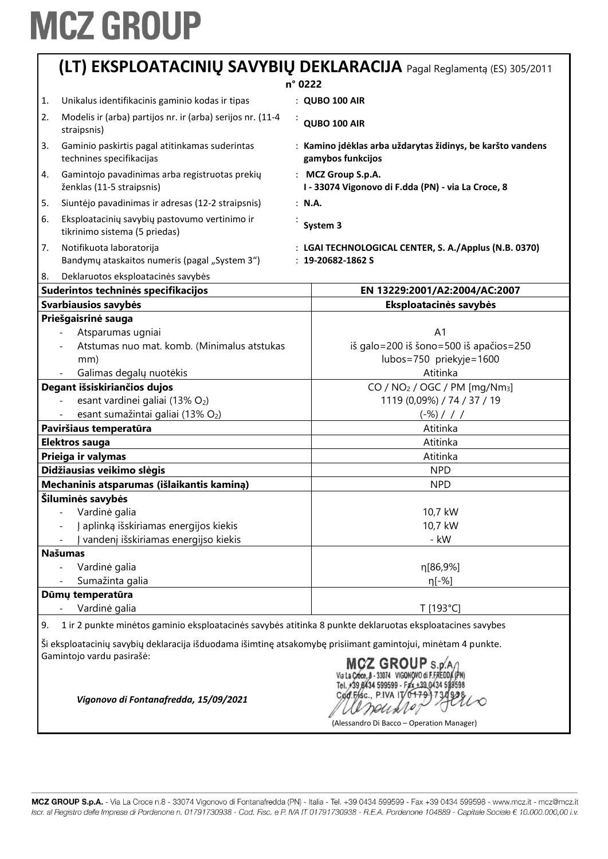|    | (LT) EKSPLOATACINIŲ SAVYBIŲ DEKLARACIJA Pagal Reglamentą (ES) 305/2011                                       |  |                                                                                 |
|----|--------------------------------------------------------------------------------------------------------------|--|---------------------------------------------------------------------------------|
|    |                                                                                                              |  | n° 0222                                                                         |
| 1. | Unikalus identifikacinis gaminio kodas ir tipas                                                              |  | : QUBO 100 AIR                                                                  |
| 2. | Modelis ir (arba) partijos nr. ir (arba) serijos nr. (11-4<br>straipsnis)                                    |  | QUBO 100 AIR                                                                    |
| 3. | Gaminio paskirtis pagal atitinkamas suderintas<br>technines specifikacijas                                   |  | : Kamino įdėklas arba uždarytas židinys, be karšto vandens<br>gamybos funkcijos |
| 4. | Gamintojo pavadinimas arba registruotas prekių<br>ženklas (11-5 straipsnis)                                  |  | : MCZ Group S.p.A.<br>I - 33074 Vigonovo di F.dda (PN) - via La Croce, 8        |
| 5. | Siuntėjo pavadinimas ir adresas (12-2 straipsnis)                                                            |  | : N.A.                                                                          |
| 6. | Eksploatacinių savybių pastovumo vertinimo ir<br>tikrinimo sistema (5 priedas)                               |  | System 3                                                                        |
| 7. | Notifikuota laboratorija<br>Bandymy ataskaitos numeris (pagal "System 3")                                    |  | : LGAI TECHNOLOGICAL CENTER, S. A./Applus (N.B. 0370)<br>$: 19 - 20682 - 1862S$ |
| 8. | Deklaruotos eksploatacinės savybės                                                                           |  |                                                                                 |
|    | Suderintos techninės specifikacijos                                                                          |  | EN 13229:2001/A2:2004/AC:2007                                                   |
|    | Svarbiausios savybės                                                                                         |  | Eksploatacinės savybės                                                          |
|    | Priešgaisrinė sauga<br>Atsparumas ugniai                                                                     |  | A <sub>1</sub>                                                                  |
|    | Atstumas nuo mat. komb. (Minimalus atstukas                                                                  |  | iš galo=200 iš šono=500 iš apačios=250                                          |
|    | mm)                                                                                                          |  | lubos=750 priekyje=1600                                                         |
|    | Galimas degalų nuotėkis                                                                                      |  | Atitinka                                                                        |
|    | Degant išsiskiriančios dujos                                                                                 |  | $CO / NO2 / OGC / PM [mg/Nm3]$                                                  |
|    | esant vardinei galiai (13% O2)                                                                               |  | 1119 (0,09%) / 74 / 37 / 19                                                     |
|    | esant sumažintai galiai (13% O2)                                                                             |  | $(-\%)$ / / /                                                                   |
|    | Paviršiaus temperatūra                                                                                       |  | Atitinka                                                                        |
|    | Elektros sauga                                                                                               |  | Atitinka                                                                        |
|    | Prieiga ir valymas                                                                                           |  | Atitinka                                                                        |
|    | Didžiausias veikimo slėgis                                                                                   |  | <b>NPD</b>                                                                      |
|    | Mechaninis atsparumas (išlaikantis kaminą)                                                                   |  | <b>NPD</b>                                                                      |
|    | Šiluminės savybės                                                                                            |  |                                                                                 |
|    | Vardinė galia                                                                                                |  | 10,7 kW                                                                         |
|    | aplinką išskiriamas energijos kiekis                                                                         |  | 10,7 kW                                                                         |
|    | vandenį išskiriamas energijso kiekis                                                                         |  | - kW                                                                            |
|    | <b>Našumas</b>                                                                                               |  |                                                                                 |
|    | Vardinė galia                                                                                                |  | η[86,9%]                                                                        |
|    | Sumažinta galia                                                                                              |  | η[-%]                                                                           |
|    | Dūmų temperatūra                                                                                             |  |                                                                                 |
|    | Vardinė galia                                                                                                |  | T [193°C]                                                                       |
| 9. | 1 ir 2 punkte minėtos gaminio eksploatacinės savybės atitinka 8 punkte deklaruotas eksploatacines savybes    |  |                                                                                 |
|    | Ši eksploatacinių savybių deklaracija išduodama išimtinę atsakomybę prisiimant gamintojui, minėtam 4 punkte. |  |                                                                                 |
|    | Gamintojo vardu pasirašė:                                                                                    |  |                                                                                 |
|    |                                                                                                              |  | $MCZ$ GROUP $\frac{1}{2}$                                                       |

Via La Croce, 8 - 33074 VIGONOVO di F.FREDDA (PN)<br>Tel. 739 8434 599599 - Fax +39 0434 599598<br>Cod. F/sc., P.IVA IT/04799734928  $^{434}_{730938}$ arounder

(Alessandro Di Bacco – Operation Manager)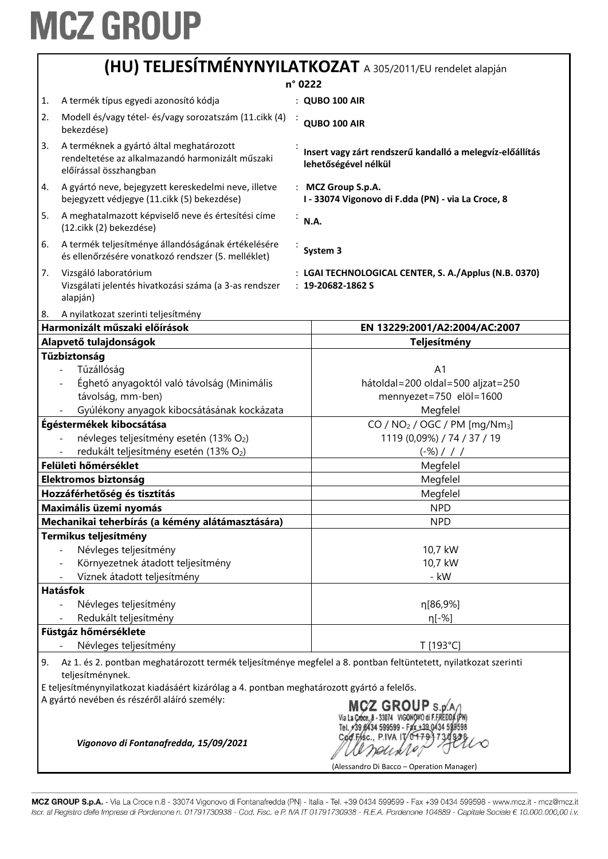| (HU) TELJESÍTMÉNYNYILATKOZAT A 305/2011/EU rendelet alapján |  |
|-------------------------------------------------------------|--|
|-------------------------------------------------------------|--|

|    |                                                                                                                                     | n° 0222 |                                                                                   |
|----|-------------------------------------------------------------------------------------------------------------------------------------|---------|-----------------------------------------------------------------------------------|
| 1. | A termék típus egyedi azonosító kódja                                                                                               |         | : QUBO 100 AIR                                                                    |
| 2. | Modell és/vagy tétel- és/vagy sorozatszám (11. cikk (4)                                                                             |         |                                                                                   |
|    | bekezdése)                                                                                                                          |         | QUBO 100 AIR                                                                      |
| 3. | A terméknek a gyártó által meghatározott<br>rendeltetése az alkalmazandó harmonizált műszaki<br>előírással összhangban              |         | Insert vagy zárt rendszerű kandalló a melegvíz-előállítás<br>lehetőségével nélkül |
| 4. | A gyártó neve, bejegyzett kereskedelmi neve, illetve<br>bejegyzett védjegye (11. cikk (5) bekezdése)                                |         | : MCZ Group S.p.A.<br>I - 33074 Vigonovo di F.dda (PN) - via La Croce, 8          |
| 5. | A meghatalmazott képviselő neve és értesítési címe<br>(12.cikk (2) bekezdése)                                                       | N.A.    |                                                                                   |
| 6. | A termék teljesítménye állandóságának értékelésére<br>és ellenőrzésére vonatkozó rendszer (5. melléklet)                            |         | System 3                                                                          |
| 7. | Vizsgáló laboratórium<br>Vizsgálati jelentés hivatkozási száma (a 3-as rendszer<br>alapján)                                         |         | : LGAI TECHNOLOGICAL CENTER, S. A./Applus (N.B. 0370)<br>$: 19 - 20682 - 1862S$   |
| 8. | A nyilatkozat szerinti teljesítmény                                                                                                 |         |                                                                                   |
|    | Harmonizált műszaki előírások                                                                                                       |         | EN 13229:2001/A2:2004/AC:2007                                                     |
|    | Alapvető tulajdonságok<br>Tűzbiztonság                                                                                              |         | <b>Teljesítmény</b>                                                               |
|    | Tűzállóság                                                                                                                          |         | A <sub>1</sub>                                                                    |
|    | Éghető anyagoktól való távolság (Minimális                                                                                          |         | hátoldal=200 oldal=500 aljzat=250                                                 |
|    | távolság, mm-ben)                                                                                                                   |         | mennyezet=750 elöl=1600                                                           |
|    | Gyúlékony anyagok kibocsátásának kockázata                                                                                          |         | Megfelel                                                                          |
|    | Égéstermékek kibocsátása                                                                                                            |         | CO / $NO2$ / OGC / PM [mg/Nm <sub>3</sub> ]                                       |
|    | névleges teljesítmény esetén (13% O2)                                                                                               |         | 1119 (0,09%) / 74 / 37 / 19                                                       |
|    | redukált teljesítmény esetén (13% O2)                                                                                               |         | $(-\%)$ / / /                                                                     |
|    | Felületi hőmérséklet                                                                                                                |         | Megfelel                                                                          |
|    | <b>Elektromos biztonság</b>                                                                                                         |         | Megfelel                                                                          |
|    | Hozzáférhetőség és tisztítás                                                                                                        |         | Megfelel                                                                          |
|    | Maximális üzemi nyomás                                                                                                              |         | <b>NPD</b>                                                                        |
|    | Mechanikai teherbírás (a kémény alátámasztására)                                                                                    |         | <b>NPD</b>                                                                        |
|    | Termikus teljesítmény                                                                                                               |         |                                                                                   |
|    | Névleges teljesítmény                                                                                                               |         | 10,7 kW                                                                           |
|    | Környezetnek átadott teljesítmény                                                                                                   |         | 10,7 kW                                                                           |
|    | Víznek átadott teljesítmény                                                                                                         |         | - kW                                                                              |
|    | <b>Hatásfok</b>                                                                                                                     |         |                                                                                   |
|    | Névleges teljesítmény                                                                                                               |         | n[86,9%]                                                                          |
|    | Redukált teljesítmény                                                                                                               |         | η[-%]                                                                             |
|    | Füstgáz hőmérséklete                                                                                                                |         |                                                                                   |
|    | Névleges teljesítmény                                                                                                               |         | T [193°C]                                                                         |
| 9. | Az 1. és 2. pontban meghatározott termék teljesítménye megfelel a 8. pontban feltüntetett, nyilatkozat szerinti<br>teljesítménynek. |         |                                                                                   |
|    | E teljesítménynyilatkozat kiadásáért kizárólag a 4. pontban meghatározott gyártó a felelős.                                         |         |                                                                                   |
|    | A gyártó nevében és részéről aláíró személy:<br>Vigonovo di Fontanafredda, 15/09/2021                                               |         | <b>MCZ GROUP S.p</b><br>Cod.Fisc., P.IVA IT                                       |
|    |                                                                                                                                     |         | (Alessandro Di Bacco – Operation Manager)                                         |

MCZ GROUP S.p.A. - Via La Croce n.8 - 33074 Vigonovo di Fontanafredda (PN) - Italia - Tel. +39 0434 599599 - Fax +39 0434 599598 - www.mcz.it - mcz@mcz.it Iscr. al Registro delle Imprese di Pordenone n. 01791730938 - Cod. Fisc. e P. IVA IT 01791730938 - R.E.A. Pordenone 104889 - Capitale Sociale € 10.000.000,00 i.v.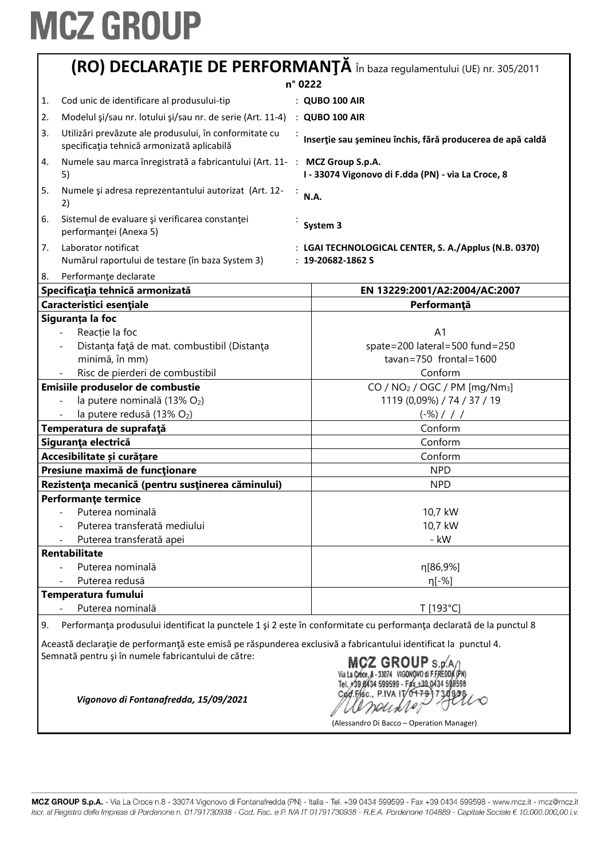| (RO) DECLARAȚIE DE PERFORMANȚĂ în baza regulamentului (UE) nr. 305/2011                                                                                                      |                                                                                                                                            |
|------------------------------------------------------------------------------------------------------------------------------------------------------------------------------|--------------------------------------------------------------------------------------------------------------------------------------------|
|                                                                                                                                                                              | n° 0222                                                                                                                                    |
| Cod unic de identificare al produsului-tip<br>1.                                                                                                                             | : QUBO 100 AIR                                                                                                                             |
| Modelul şi/sau nr. lotului şi/sau nr. de serie (Art. 11-4) : QUBO 100 AIR<br>2.                                                                                              |                                                                                                                                            |
| Utilizări prevăzute ale produsului, în conformitate cu<br>3.<br>specificația tehnică armonizată aplicabilă                                                                   | Inserție sau șemineu închis, fără producerea de apă caldă                                                                                  |
| Numele sau marca înregistrată a fabricantului (Art. 11- : MCZ Group S.p.A.<br>4.<br>5)                                                                                       | I - 33074 Vigonovo di F.dda (PN) - via La Croce, 8                                                                                         |
| 5.<br>Numele și adresa reprezentantului autorizat (Art. 12-<br>2)                                                                                                            | N.A.                                                                                                                                       |
| Sistemul de evaluare și verificarea constanței<br>6.<br>performanței (Anexa 5)                                                                                               | System 3                                                                                                                                   |
| 7.<br>Laborator notificat<br>Numărul raportului de testare (în baza System 3)                                                                                                | : LGAI TECHNOLOGICAL CENTER, S. A./Applus (N.B. 0370)<br>$: 19 - 20682 - 1862S$                                                            |
| Performanțe declarate<br>8.                                                                                                                                                  |                                                                                                                                            |
| Specificația tehnică armonizată                                                                                                                                              | EN 13229:2001/A2:2004/AC:2007                                                                                                              |
| Caracteristici esențiale                                                                                                                                                     | Performanță                                                                                                                                |
| Siguranța la foc                                                                                                                                                             |                                                                                                                                            |
| Reacție la foc                                                                                                                                                               | A <sub>1</sub>                                                                                                                             |
| Distanța față de mat. combustibil (Distanța                                                                                                                                  | spate=200 lateral=500 fund=250                                                                                                             |
| minimă, în mm)                                                                                                                                                               | $tavan = 750$ frontal = 1600                                                                                                               |
| Risc de pierderi de combustibil                                                                                                                                              | Conform                                                                                                                                    |
| Emisiile produselor de combustie                                                                                                                                             | CO / $NO2$ / OGC / PM [mg/Nm <sub>3</sub> ]                                                                                                |
| la putere nominală (13% O2)                                                                                                                                                  | 1119 (0,09%) / 74 / 37 / 19                                                                                                                |
| la putere redusă (13% O2)                                                                                                                                                    | $(-\%)$ / / /                                                                                                                              |
| Temperatura de suprafață                                                                                                                                                     | Conform                                                                                                                                    |
| Siguranța electrică                                                                                                                                                          | Conform                                                                                                                                    |
| Accesibilitate și curățare                                                                                                                                                   | Conform                                                                                                                                    |
| Presiune maximă de funcționare                                                                                                                                               | <b>NPD</b>                                                                                                                                 |
| Rezistența mecanică (pentru susținerea căminului)                                                                                                                            | <b>NPD</b>                                                                                                                                 |
| <b>Performante termice</b>                                                                                                                                                   |                                                                                                                                            |
| Puterea nominală                                                                                                                                                             | 10,7 kW                                                                                                                                    |
| Puterea transferată mediului                                                                                                                                                 | 10,7 kW                                                                                                                                    |
| Puterea transferată apei                                                                                                                                                     | - kW                                                                                                                                       |
| <b>Rentabilitate</b>                                                                                                                                                         |                                                                                                                                            |
| Puterea nominală                                                                                                                                                             | η[86,9%]                                                                                                                                   |
| Puterea redusă                                                                                                                                                               | η[-%]                                                                                                                                      |
| Temperatura fumului                                                                                                                                                          |                                                                                                                                            |
| Puterea nominală                                                                                                                                                             |                                                                                                                                            |
|                                                                                                                                                                              | T [193°C]                                                                                                                                  |
| 9.<br>Această declarație de performanță este emisă pe răspunderea exclusivă a fabricantului identificat la punctul 4.<br>Semnată pentru și în numele fabricantului de către: | Performanța produsului identificat la punctele 1 și 2 este în conformitate cu performanța declarată de la punctul 8<br>$MCZ$ GROUP $s_{R}$ |

Via La Croce, 8 - 33074 VIGONOVO E FREDDA (PN)<br>Tel. +39 6434 599599 - Fax +39 0434 599598<br>Cod.Fr.Sc., P.IVA IT 0+7-9-7 34 928

(Alessandro Di Bacco – Operation Manager)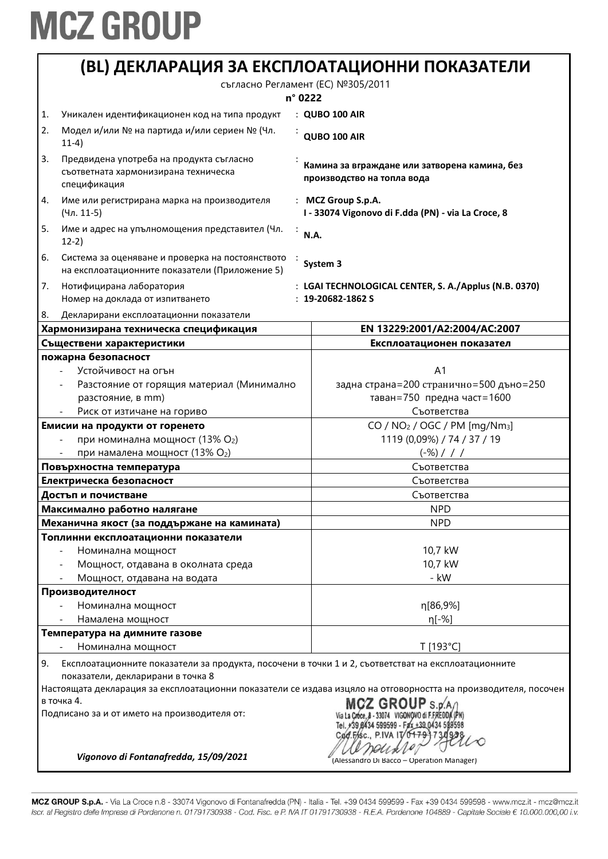|    |                                                                                                                                          | (BL) ДЕКЛАРАЦИЯ ЗА ЕКСПЛОАТАЦИОННИ ПОКАЗАТЕЛИ                                                                   |
|----|------------------------------------------------------------------------------------------------------------------------------------------|-----------------------------------------------------------------------------------------------------------------|
|    |                                                                                                                                          | съгласно Регламент (ЕС) №305/2011<br>n° 0222                                                                    |
| 1. | Уникален идентификационен код на типа продукт                                                                                            | : QUBO 100 AIR                                                                                                  |
| 2. | Модел и/или № на партида и/или сериен № (Чл.<br>$11-4)$                                                                                  | QUBO 100 AIR                                                                                                    |
| 3. | Предвидена употреба на продукта съгласно<br>съответната хармонизирана техническа<br>спецификация                                         | Камина за вграждане или затворена камина, без<br>производство на топла вода                                     |
| 4. | Име или регистрирана марка на производителя<br>(Чл. 11-5)                                                                                | : MCZ Group S.p.A.<br>I - 33074 Vigonovo di F.dda (PN) - via La Croce, 8                                        |
| 5. | Име и адрес на упълномощения представител (Чл.<br>$12-2)$                                                                                | N.A.                                                                                                            |
| 6. | Система за оценяване и проверка на постоянството<br>на експлоатационните показатели (Приложение 5)                                       | System 3                                                                                                        |
| 7. | Нотифицирана лаборатория<br>Номер на доклада от изпитването                                                                              | : LGAI TECHNOLOGICAL CENTER, S. A./Applus (N.B. 0370)<br>$: 19-20682-1862S$                                     |
| 8. | Декларирани експлоатационни показатели                                                                                                   |                                                                                                                 |
|    | Хармонизирана техническа спецификация                                                                                                    | EN 13229:2001/A2:2004/AC:2007                                                                                   |
|    | Съществени характеристики                                                                                                                | Експлоатационен показател                                                                                       |
|    | пожарна безопасност                                                                                                                      |                                                                                                                 |
|    | Устойчивост на огън<br>Разстояние от горящия материал (Минимално                                                                         | A <sub>1</sub><br>задна страна=200 странично=500 дъно=250                                                       |
|    | разстояние, в mm)                                                                                                                        | таван=750 предна част=1600                                                                                      |
|    | Риск от изтичане на гориво                                                                                                               | Съответства                                                                                                     |
|    | Емисии на продукти от горенето                                                                                                           | CO / NO <sub>2</sub> / OGC / PM [mg/Nm <sub>3</sub> ]                                                           |
|    | при номинална мощност (13% О2)                                                                                                           | 1119 (0,09%) / 74 / 37 / 19                                                                                     |
|    | при намалена мощност (13% О2)                                                                                                            | $(-\%)$ / / /                                                                                                   |
|    | Повърхностна температура                                                                                                                 | Съответства                                                                                                     |
|    | Електрическа безопасност                                                                                                                 | Съответства                                                                                                     |
|    | Достъп и почистване                                                                                                                      | Съответства                                                                                                     |
|    | Максимално работно налягане                                                                                                              | <b>NPD</b>                                                                                                      |
|    | Механична якост (за поддържане на камината)                                                                                              | <b>NPD</b>                                                                                                      |
|    | Топлинни експлоатационни показатели                                                                                                      |                                                                                                                 |
|    | Номинална мощност                                                                                                                        | 10,7 kW                                                                                                         |
|    | Мощност, отдавана в околната среда                                                                                                       | 10,7 kW                                                                                                         |
|    | Мощност, отдавана на водата                                                                                                              | - kW                                                                                                            |
|    | Производителност                                                                                                                         |                                                                                                                 |
|    | Номинална мощност                                                                                                                        | η[86,9%]                                                                                                        |
|    | Намалена мощност                                                                                                                         | $n[-%]$                                                                                                         |
|    | Температура на димните газове                                                                                                            |                                                                                                                 |
|    | Номинална мощност                                                                                                                        | T [193°C]                                                                                                       |
| 9. | Експлоатационните показатели за продукта, посочени в точки 1 и 2, съответстват на експлоатационните<br>показатели, декларирани в точка 8 |                                                                                                                 |
|    |                                                                                                                                          | Настоящата декларация за експлоатационни показатели се издава изцяло на отговорността на производителя, посочен |
|    | в точка 4.<br>Подписано за и от името на производителя от:                                                                               | +39 8434 599599 - Fax +39 0434<br>Cod.Fisc., P.IVA IT                                                           |
|    | Vigonovo di Fontanafredda, 15/09/2021                                                                                                    | (Alessandro Di Bacco - Operation Manager)                                                                       |

MCZ GROUP S.p.A. - Via La Croce n.8 - 33074 Vigonovo di Fontanafredda (PN) - Italia - Tel. +39 0434 599599 - Fax +39 0434 599598 - www.mcz.it - mcz@mcz.it Iscr. al Registro delle Imprese di Pordenone n. 01791730938 - Cod. Fisc. e P. IVA IT 01791730938 - R.E.A. Pordenone 104889 - Capitale Sociale € 10.000.000,00 i.v.